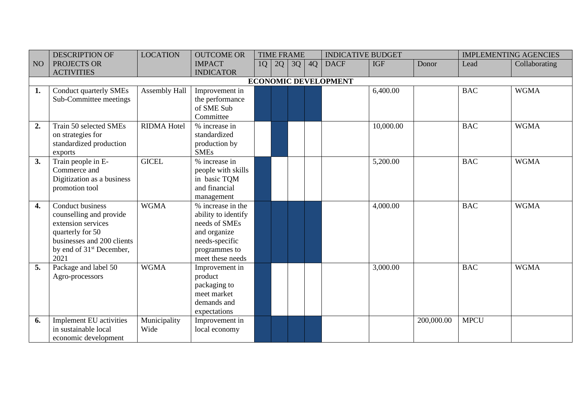|                 | <b>DESCRIPTION OF</b>                | <b>LOCATION</b>      | <b>OUTCOME OR</b>   |    |    | <b>TIME FRAME</b> |    | <b>INDICATIVE BUDGET</b>    |            |            |             | <b>IMPLEMENTING AGENCIES</b> |
|-----------------|--------------------------------------|----------------------|---------------------|----|----|-------------------|----|-----------------------------|------------|------------|-------------|------------------------------|
| NO <sub>1</sub> | PROJECTS OR                          |                      | <b>IMPACT</b>       | 1Q | 2Q | 3Q                | 4Q | <b>DACF</b>                 | <b>IGF</b> | Donor      | Lead        | Collaborating                |
|                 | <b>ACTIVITIES</b>                    |                      | <b>INDICATOR</b>    |    |    |                   |    |                             |            |            |             |                              |
|                 |                                      |                      |                     |    |    |                   |    | <b>ECONOMIC DEVELOPMENT</b> |            |            |             |                              |
| 1.              | <b>Conduct quarterly SMEs</b>        | <b>Assembly Hall</b> | Improvement in      |    |    |                   |    |                             | 6,400.00   |            | <b>BAC</b>  | <b>WGMA</b>                  |
|                 | Sub-Committee meetings               |                      | the performance     |    |    |                   |    |                             |            |            |             |                              |
|                 |                                      |                      | of SME Sub          |    |    |                   |    |                             |            |            |             |                              |
|                 |                                      |                      | Committee           |    |    |                   |    |                             |            |            |             |                              |
| 2.              | Train 50 selected SMEs               | <b>RIDMA Hotel</b>   | % increase in       |    |    |                   |    |                             | 10,000.00  |            | <b>BAC</b>  | <b>WGMA</b>                  |
|                 | on strategies for                    |                      | standardized        |    |    |                   |    |                             |            |            |             |                              |
|                 | standardized production              |                      | production by       |    |    |                   |    |                             |            |            |             |                              |
|                 | exports                              |                      | <b>SMEs</b>         |    |    |                   |    |                             |            |            |             |                              |
| 3.              | Train people in E-                   | <b>GICEL</b>         | % increase in       |    |    |                   |    |                             | 5,200.00   |            | <b>BAC</b>  | <b>WGMA</b>                  |
|                 | Commerce and                         |                      | people with skills  |    |    |                   |    |                             |            |            |             |                              |
|                 | Digitization as a business           |                      | in basic TQM        |    |    |                   |    |                             |            |            |             |                              |
|                 | promotion tool                       |                      | and financial       |    |    |                   |    |                             |            |            |             |                              |
|                 |                                      |                      | management          |    |    |                   |    |                             |            |            |             |                              |
| 4.              | <b>Conduct business</b>              | <b>WGMA</b>          | % increase in the   |    |    |                   |    |                             | 4,000.00   |            | <b>BAC</b>  | <b>WGMA</b>                  |
|                 | counselling and provide              |                      | ability to identify |    |    |                   |    |                             |            |            |             |                              |
|                 | extension services                   |                      | needs of SMEs       |    |    |                   |    |                             |            |            |             |                              |
|                 | quarterly for 50                     |                      | and organize        |    |    |                   |    |                             |            |            |             |                              |
|                 | businesses and 200 clients           |                      | needs-specific      |    |    |                   |    |                             |            |            |             |                              |
|                 | by end of 31 <sup>st</sup> December, |                      | programmes to       |    |    |                   |    |                             |            |            |             |                              |
|                 | 2021                                 |                      | meet these needs    |    |    |                   |    |                             |            |            |             |                              |
| 5.              | Package and label 50                 | <b>WGMA</b>          | Improvement in      |    |    |                   |    |                             | 3,000.00   |            | <b>BAC</b>  | <b>WGMA</b>                  |
|                 | Agro-processors                      |                      | product             |    |    |                   |    |                             |            |            |             |                              |
|                 |                                      |                      | packaging to        |    |    |                   |    |                             |            |            |             |                              |
|                 |                                      |                      | meet market         |    |    |                   |    |                             |            |            |             |                              |
|                 |                                      |                      | demands and         |    |    |                   |    |                             |            |            |             |                              |
|                 |                                      |                      | expectations        |    |    |                   |    |                             |            |            |             |                              |
| 6.              | Implement EU activities              | Municipality         | Improvement in      |    |    |                   |    |                             |            | 200,000.00 | <b>MPCU</b> |                              |
|                 | in sustainable local                 | Wide                 | local economy       |    |    |                   |    |                             |            |            |             |                              |
|                 | economic development                 |                      |                     |    |    |                   |    |                             |            |            |             |                              |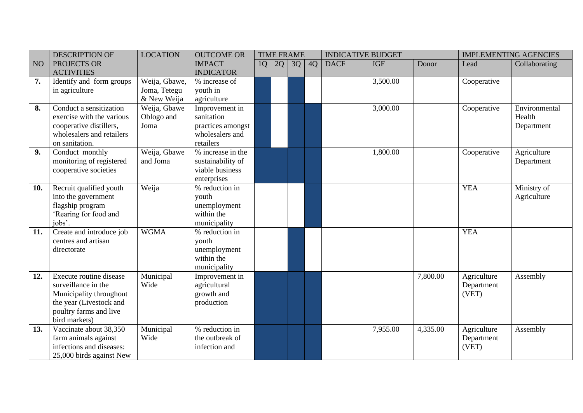|     | <b>DESCRIPTION OF</b>     | <b>LOCATION</b> | <b>OUTCOME OR</b> |    | <b>TIME FRAME</b> |    |    | <b>INDICATIVE BUDGET</b> |            |          |             | <b>IMPLEMENTING AGENCIES</b> |
|-----|---------------------------|-----------------|-------------------|----|-------------------|----|----|--------------------------|------------|----------|-------------|------------------------------|
| NO  | PROJECTS OR               |                 | <b>IMPACT</b>     | 1Q | 2Q                | 3Q | 4Q | <b>DACF</b>              | <b>IGF</b> | Donor    | Lead        | Collaborating                |
|     | <b>ACTIVITIES</b>         |                 | <b>INDICATOR</b>  |    |                   |    |    |                          |            |          |             |                              |
| 7.  | Identify and form groups  | Weija, Gbawe,   | % increase of     |    |                   |    |    |                          | 3,500.00   |          | Cooperative |                              |
|     | in agriculture            | Joma, Tetegu    | youth in          |    |                   |    |    |                          |            |          |             |                              |
|     |                           | & New Weija     | agriculture       |    |                   |    |    |                          |            |          |             |                              |
| 8.  | Conduct a sensitization   | Weija, Gbawe    | Improvement in    |    |                   |    |    |                          | 3,000.00   |          | Cooperative | Environmental                |
|     | exercise with the various | Oblogo and      | sanitation        |    |                   |    |    |                          |            |          |             | Health                       |
|     | cooperative distillers,   | Joma            | practices amongst |    |                   |    |    |                          |            |          |             | Department                   |
|     | wholesalers and retailers |                 | wholesalers and   |    |                   |    |    |                          |            |          |             |                              |
|     | on sanitation.            |                 | retailers         |    |                   |    |    |                          |            |          |             |                              |
| 9.  | Conduct monthly           | Weija, Gbawe    | % increase in the |    |                   |    |    |                          | 1,800.00   |          | Cooperative | Agriculture                  |
|     | monitoring of registered  | and Joma        | sustainability of |    |                   |    |    |                          |            |          |             | Department                   |
|     | cooperative societies     |                 | viable business   |    |                   |    |    |                          |            |          |             |                              |
|     |                           |                 | enterprises       |    |                   |    |    |                          |            |          |             |                              |
| 10. | Recruit qualified youth   | Weija           | % reduction in    |    |                   |    |    |                          |            |          | <b>YEA</b>  | Ministry of                  |
|     | into the government       |                 | youth             |    |                   |    |    |                          |            |          |             | Agriculture                  |
|     | flagship program          |                 | unemployment      |    |                   |    |    |                          |            |          |             |                              |
|     | 'Rearing for food and     |                 | within the        |    |                   |    |    |                          |            |          |             |                              |
|     | jobs'.                    |                 | municipality      |    |                   |    |    |                          |            |          |             |                              |
| 11. | Create and introduce job  | <b>WGMA</b>     | % reduction in    |    |                   |    |    |                          |            |          | <b>YEA</b>  |                              |
|     | centres and artisan       |                 | youth             |    |                   |    |    |                          |            |          |             |                              |
|     | directorate               |                 | unemployment      |    |                   |    |    |                          |            |          |             |                              |
|     |                           |                 | within the        |    |                   |    |    |                          |            |          |             |                              |
|     |                           |                 | municipality      |    |                   |    |    |                          |            |          |             |                              |
| 12. | Execute routine disease   | Municipal       | Improvement in    |    |                   |    |    |                          |            | 7,800.00 | Agriculture | Assembly                     |
|     | surveillance in the       | Wide            | agricultural      |    |                   |    |    |                          |            |          | Department  |                              |
|     | Municipality throughout   |                 | growth and        |    |                   |    |    |                          |            |          | (VET)       |                              |
|     | the year (Livestock and   |                 | production        |    |                   |    |    |                          |            |          |             |                              |
|     | poultry farms and live    |                 |                   |    |                   |    |    |                          |            |          |             |                              |
|     | bird markets)             |                 |                   |    |                   |    |    |                          |            |          |             |                              |
| 13. | Vaccinate about 38,350    | Municipal       | % reduction in    |    |                   |    |    |                          | 7,955.00   | 4,335.00 | Agriculture | Assembly                     |
|     | farm animals against      | Wide            | the outbreak of   |    |                   |    |    |                          |            |          | Department  |                              |
|     | infections and diseases:  |                 | infection and     |    |                   |    |    |                          |            |          | (VET)       |                              |
|     | 25,000 birds against New  |                 |                   |    |                   |    |    |                          |            |          |             |                              |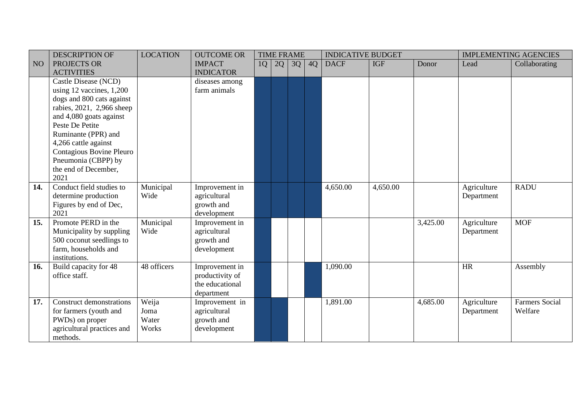|                 | <b>DESCRIPTION OF</b>                 | <b>LOCATION</b> | <b>OUTCOME OR</b> |    |    | <b>TIME FRAME</b> |    | <b>INDICATIVE BUDGET</b> |            |          |             | <b>IMPLEMENTING AGENCIES</b> |
|-----------------|---------------------------------------|-----------------|-------------------|----|----|-------------------|----|--------------------------|------------|----------|-------------|------------------------------|
| NO <sub>1</sub> | PROJECTS OR                           |                 | <b>IMPACT</b>     | 1Q | 2Q | 3Q                | 4Q | <b>DACF</b>              | <b>IGF</b> | Donor    | Lead        | Collaborating                |
|                 | <b>ACTIVITIES</b>                     |                 | <b>INDICATOR</b>  |    |    |                   |    |                          |            |          |             |                              |
|                 | Castle Disease (NCD)                  |                 | diseases among    |    |    |                   |    |                          |            |          |             |                              |
|                 | using 12 vaccines, 1,200              |                 | farm animals      |    |    |                   |    |                          |            |          |             |                              |
|                 | dogs and 800 cats against             |                 |                   |    |    |                   |    |                          |            |          |             |                              |
|                 | rabies, 2021, 2,966 sheep             |                 |                   |    |    |                   |    |                          |            |          |             |                              |
|                 | and 4,080 goats against               |                 |                   |    |    |                   |    |                          |            |          |             |                              |
|                 | Peste De Petite                       |                 |                   |    |    |                   |    |                          |            |          |             |                              |
|                 | Ruminante (PPR) and                   |                 |                   |    |    |                   |    |                          |            |          |             |                              |
|                 | 4,266 cattle against                  |                 |                   |    |    |                   |    |                          |            |          |             |                              |
|                 | Contagious Bovine Pleuro              |                 |                   |    |    |                   |    |                          |            |          |             |                              |
|                 | Pneumonia (CBPP) by                   |                 |                   |    |    |                   |    |                          |            |          |             |                              |
|                 | the end of December,                  |                 |                   |    |    |                   |    |                          |            |          |             |                              |
|                 | 2021                                  |                 |                   |    |    |                   |    |                          |            |          |             |                              |
| 14.             | Conduct field studies to              | Municipal       | Improvement in    |    |    |                   |    | 4,650.00                 | 4,650.00   |          | Agriculture | <b>RADU</b>                  |
|                 | determine production                  | Wide            | agricultural      |    |    |                   |    |                          |            |          | Department  |                              |
|                 | Figures by end of Dec,                |                 | growth and        |    |    |                   |    |                          |            |          |             |                              |
|                 | 2021                                  |                 | development       |    |    |                   |    |                          |            |          |             |                              |
| 15.             | Promote PERD in the                   | Municipal       | Improvement in    |    |    |                   |    |                          |            | 3,425.00 | Agriculture | <b>MOF</b>                   |
|                 | Municipality by suppling              | Wide            | agricultural      |    |    |                   |    |                          |            |          | Department  |                              |
|                 | 500 coconut seedlings to              |                 | growth and        |    |    |                   |    |                          |            |          |             |                              |
|                 | farm, households and<br>institutions. |                 | development       |    |    |                   |    |                          |            |          |             |                              |
| 16.             | Build capacity for 48                 | 48 officers     | Improvement in    |    |    |                   |    | 1,090.00                 |            |          | HR          | Assembly                     |
|                 | office staff.                         |                 | productivity of   |    |    |                   |    |                          |            |          |             |                              |
|                 |                                       |                 | the educational   |    |    |                   |    |                          |            |          |             |                              |
|                 |                                       |                 | department        |    |    |                   |    |                          |            |          |             |                              |
| 17.             | <b>Construct demonstrations</b>       | Weija           | Improvement in    |    |    |                   |    | 1,891.00                 |            | 4,685.00 | Agriculture | <b>Farmers Social</b>        |
|                 | for farmers (youth and                | Joma            | agricultural      |    |    |                   |    |                          |            |          | Department  | Welfare                      |
|                 | PWDs) on proper                       | Water           | growth and        |    |    |                   |    |                          |            |          |             |                              |
|                 | agricultural practices and            | Works           | development       |    |    |                   |    |                          |            |          |             |                              |
|                 | methods.                              |                 |                   |    |    |                   |    |                          |            |          |             |                              |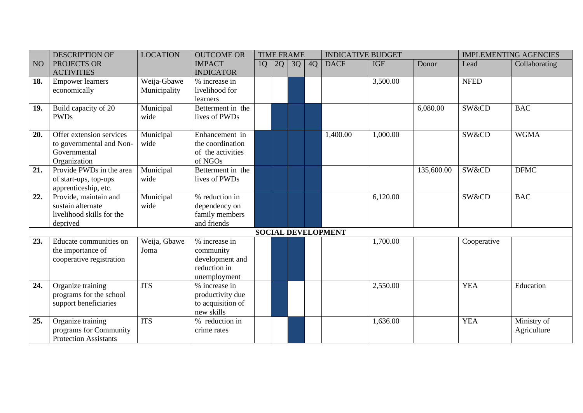|     | <b>DESCRIPTION OF</b>        | <b>LOCATION</b> | <b>OUTCOME OR</b> |    |    | <b>TIME FRAME</b> |    | <b>INDICATIVE BUDGET</b>  |            |            |             | <b>IMPLEMENTING AGENCIES</b> |
|-----|------------------------------|-----------------|-------------------|----|----|-------------------|----|---------------------------|------------|------------|-------------|------------------------------|
| NO  | PROJECTS OR                  |                 | <b>IMPACT</b>     | 1Q | 2Q | 3Q                | 4Q | <b>DACF</b>               | <b>IGF</b> | Donor      | Lead        | Collaborating                |
|     | <b>ACTIVITIES</b>            |                 | <b>INDICATOR</b>  |    |    |                   |    |                           |            |            |             |                              |
| 18. | <b>Empower learners</b>      | Weija-Gbawe     | % increase in     |    |    |                   |    |                           | 3,500.00   |            | <b>NFED</b> |                              |
|     | economically                 | Municipality    | livelihood for    |    |    |                   |    |                           |            |            |             |                              |
|     |                              |                 | learners          |    |    |                   |    |                           |            |            |             |                              |
| 19. | Build capacity of 20         | Municipal       | Betterment in the |    |    |                   |    |                           |            | 6,080.00   | SW&CD       | <b>BAC</b>                   |
|     | <b>PWDs</b>                  | wide            | lives of PWDs     |    |    |                   |    |                           |            |            |             |                              |
|     |                              |                 |                   |    |    |                   |    |                           |            |            |             |                              |
| 20. | Offer extension services     | Municipal       | Enhancement in    |    |    |                   |    | 1,400.00                  | 1,000.00   |            | SW&CD       | <b>WGMA</b>                  |
|     | to governmental and Non-     | wide            | the coordination  |    |    |                   |    |                           |            |            |             |                              |
|     | Governmental                 |                 | of the activities |    |    |                   |    |                           |            |            |             |                              |
|     | Organization                 |                 | of NGOs           |    |    |                   |    |                           |            |            |             |                              |
| 21. | Provide PWDs in the area     | Municipal       | Betterment in the |    |    |                   |    |                           |            | 135,600.00 | SW&CD       | <b>DFMC</b>                  |
|     | of start-ups, top-ups        | wide            | lives of PWDs     |    |    |                   |    |                           |            |            |             |                              |
|     | apprenticeship, etc.         |                 |                   |    |    |                   |    |                           |            |            |             |                              |
| 22. | Provide, maintain and        | Municipal       | % reduction in    |    |    |                   |    |                           | 6,120.00   |            | SW&CD       | <b>BAC</b>                   |
|     | sustain alternate            | wide            | dependency on     |    |    |                   |    |                           |            |            |             |                              |
|     | livelihood skills for the    |                 | family members    |    |    |                   |    |                           |            |            |             |                              |
|     | deprived                     |                 | and friends       |    |    |                   |    |                           |            |            |             |                              |
|     |                              |                 |                   |    |    |                   |    | <b>SOCIAL DEVELOPMENT</b> |            |            |             |                              |
| 23. | Educate communities on       | Weija, Gbawe    | % increase in     |    |    |                   |    |                           | 1,700.00   |            | Cooperative |                              |
|     | the importance of            | Joma            | community         |    |    |                   |    |                           |            |            |             |                              |
|     | cooperative registration     |                 | development and   |    |    |                   |    |                           |            |            |             |                              |
|     |                              |                 | reduction in      |    |    |                   |    |                           |            |            |             |                              |
|     |                              |                 | unemployment      |    |    |                   |    |                           |            |            |             |                              |
| 24. | Organize training            | <b>ITS</b>      | % increase in     |    |    |                   |    |                           | 2,550.00   |            | <b>YEA</b>  | Education                    |
|     | programs for the school      |                 | productivity due  |    |    |                   |    |                           |            |            |             |                              |
|     | support beneficiaries        |                 | to acquisition of |    |    |                   |    |                           |            |            |             |                              |
|     |                              |                 | new skills        |    |    |                   |    |                           |            |            |             |                              |
| 25. | Organize training            | <b>ITS</b>      | % reduction in    |    |    |                   |    |                           | 1,636.00   |            | <b>YEA</b>  | Ministry of                  |
|     | programs for Community       |                 | crime rates       |    |    |                   |    |                           |            |            |             | Agriculture                  |
|     | <b>Protection Assistants</b> |                 |                   |    |    |                   |    |                           |            |            |             |                              |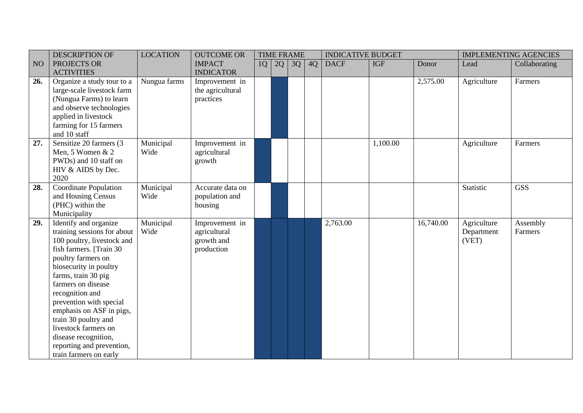| <b>DESCRIPTION OF</b>       | <b>LOCATION</b>                                                                                                                                                                                                                                                                                                                                                                                                                                                                                                                                                                                                                                                                                                                         | <b>OUTCOME OR</b>                                                   |                                                                                                                                                                  |    |                   |             |            |                                      |             | <b>IMPLEMENTING AGENCIES</b>            |
|-----------------------------|-----------------------------------------------------------------------------------------------------------------------------------------------------------------------------------------------------------------------------------------------------------------------------------------------------------------------------------------------------------------------------------------------------------------------------------------------------------------------------------------------------------------------------------------------------------------------------------------------------------------------------------------------------------------------------------------------------------------------------------------|---------------------------------------------------------------------|------------------------------------------------------------------------------------------------------------------------------------------------------------------|----|-------------------|-------------|------------|--------------------------------------|-------------|-----------------------------------------|
| PROJECTS OR                 |                                                                                                                                                                                                                                                                                                                                                                                                                                                                                                                                                                                                                                                                                                                                         | <b>IMPACT</b>                                                       | 1Q                                                                                                                                                               | 2Q | 4Q                | <b>DACF</b> | <b>IGF</b> | Donor                                | Lead        | Collaborating                           |
|                             |                                                                                                                                                                                                                                                                                                                                                                                                                                                                                                                                                                                                                                                                                                                                         |                                                                     |                                                                                                                                                                  |    |                   |             |            |                                      |             |                                         |
|                             |                                                                                                                                                                                                                                                                                                                                                                                                                                                                                                                                                                                                                                                                                                                                         |                                                                     |                                                                                                                                                                  |    |                   |             |            |                                      |             | Farmers                                 |
|                             |                                                                                                                                                                                                                                                                                                                                                                                                                                                                                                                                                                                                                                                                                                                                         |                                                                     |                                                                                                                                                                  |    |                   |             |            |                                      |             |                                         |
|                             |                                                                                                                                                                                                                                                                                                                                                                                                                                                                                                                                                                                                                                                                                                                                         |                                                                     |                                                                                                                                                                  |    |                   |             |            |                                      |             |                                         |
|                             |                                                                                                                                                                                                                                                                                                                                                                                                                                                                                                                                                                                                                                                                                                                                         |                                                                     |                                                                                                                                                                  |    |                   |             |            |                                      |             |                                         |
|                             |                                                                                                                                                                                                                                                                                                                                                                                                                                                                                                                                                                                                                                                                                                                                         |                                                                     |                                                                                                                                                                  |    |                   |             |            |                                      |             |                                         |
|                             |                                                                                                                                                                                                                                                                                                                                                                                                                                                                                                                                                                                                                                                                                                                                         |                                                                     |                                                                                                                                                                  |    |                   |             |            |                                      |             |                                         |
|                             |                                                                                                                                                                                                                                                                                                                                                                                                                                                                                                                                                                                                                                                                                                                                         |                                                                     |                                                                                                                                                                  |    |                   |             |            |                                      |             |                                         |
|                             |                                                                                                                                                                                                                                                                                                                                                                                                                                                                                                                                                                                                                                                                                                                                         |                                                                     |                                                                                                                                                                  |    |                   |             |            |                                      |             | Farmers                                 |
|                             |                                                                                                                                                                                                                                                                                                                                                                                                                                                                                                                                                                                                                                                                                                                                         |                                                                     |                                                                                                                                                                  |    |                   |             |            |                                      |             |                                         |
|                             |                                                                                                                                                                                                                                                                                                                                                                                                                                                                                                                                                                                                                                                                                                                                         |                                                                     |                                                                                                                                                                  |    |                   |             |            |                                      |             |                                         |
|                             |                                                                                                                                                                                                                                                                                                                                                                                                                                                                                                                                                                                                                                                                                                                                         |                                                                     |                                                                                                                                                                  |    |                   |             |            |                                      |             |                                         |
|                             |                                                                                                                                                                                                                                                                                                                                                                                                                                                                                                                                                                                                                                                                                                                                         |                                                                     |                                                                                                                                                                  |    |                   |             |            |                                      |             | <b>GSS</b>                              |
|                             |                                                                                                                                                                                                                                                                                                                                                                                                                                                                                                                                                                                                                                                                                                                                         |                                                                     |                                                                                                                                                                  |    |                   |             |            |                                      |             |                                         |
|                             |                                                                                                                                                                                                                                                                                                                                                                                                                                                                                                                                                                                                                                                                                                                                         |                                                                     |                                                                                                                                                                  |    |                   |             |            |                                      |             |                                         |
|                             |                                                                                                                                                                                                                                                                                                                                                                                                                                                                                                                                                                                                                                                                                                                                         |                                                                     |                                                                                                                                                                  |    |                   |             |            |                                      |             |                                         |
| Identify and organize       |                                                                                                                                                                                                                                                                                                                                                                                                                                                                                                                                                                                                                                                                                                                                         | Improvement in                                                      |                                                                                                                                                                  |    |                   | 2,763.00    |            | 16,740.00                            | Agriculture | Assembly                                |
| training sessions for about | Wide                                                                                                                                                                                                                                                                                                                                                                                                                                                                                                                                                                                                                                                                                                                                    | agricultural                                                        |                                                                                                                                                                  |    |                   |             |            |                                      | Department  | Farmers                                 |
| 100 poultry, livestock and  |                                                                                                                                                                                                                                                                                                                                                                                                                                                                                                                                                                                                                                                                                                                                         | growth and                                                          |                                                                                                                                                                  |    |                   |             |            |                                      | (VET)       |                                         |
|                             |                                                                                                                                                                                                                                                                                                                                                                                                                                                                                                                                                                                                                                                                                                                                         | production                                                          |                                                                                                                                                                  |    |                   |             |            |                                      |             |                                         |
|                             |                                                                                                                                                                                                                                                                                                                                                                                                                                                                                                                                                                                                                                                                                                                                         |                                                                     |                                                                                                                                                                  |    |                   |             |            |                                      |             |                                         |
|                             |                                                                                                                                                                                                                                                                                                                                                                                                                                                                                                                                                                                                                                                                                                                                         |                                                                     |                                                                                                                                                                  |    |                   |             |            |                                      |             |                                         |
|                             |                                                                                                                                                                                                                                                                                                                                                                                                                                                                                                                                                                                                                                                                                                                                         |                                                                     |                                                                                                                                                                  |    |                   |             |            |                                      |             |                                         |
|                             |                                                                                                                                                                                                                                                                                                                                                                                                                                                                                                                                                                                                                                                                                                                                         |                                                                     |                                                                                                                                                                  |    |                   |             |            |                                      |             |                                         |
|                             |                                                                                                                                                                                                                                                                                                                                                                                                                                                                                                                                                                                                                                                                                                                                         |                                                                     |                                                                                                                                                                  |    |                   |             |            |                                      |             |                                         |
|                             |                                                                                                                                                                                                                                                                                                                                                                                                                                                                                                                                                                                                                                                                                                                                         |                                                                     |                                                                                                                                                                  |    |                   |             |            |                                      |             |                                         |
|                             |                                                                                                                                                                                                                                                                                                                                                                                                                                                                                                                                                                                                                                                                                                                                         |                                                                     |                                                                                                                                                                  |    |                   |             |            |                                      |             |                                         |
|                             |                                                                                                                                                                                                                                                                                                                                                                                                                                                                                                                                                                                                                                                                                                                                         |                                                                     |                                                                                                                                                                  |    |                   |             |            |                                      |             |                                         |
|                             |                                                                                                                                                                                                                                                                                                                                                                                                                                                                                                                                                                                                                                                                                                                                         |                                                                     |                                                                                                                                                                  |    |                   |             |            |                                      |             |                                         |
|                             |                                                                                                                                                                                                                                                                                                                                                                                                                                                                                                                                                                                                                                                                                                                                         |                                                                     |                                                                                                                                                                  |    |                   |             |            |                                      |             |                                         |
|                             |                                                                                                                                                                                                                                                                                                                                                                                                                                                                                                                                                                                                                                                                                                                                         |                                                                     |                                                                                                                                                                  |    |                   |             |            |                                      |             |                                         |
|                             | <b>ACTIVITIES</b><br>Organize a study tour to a<br>large-scale livestock farm<br>(Nungua Farms) to learn<br>and observe technologies<br>applied in livestock<br>farming for 15 farmers<br>and 10 staff<br>Sensitize 20 farmers (3<br>Men, 5 Women & 2<br>PWDs) and 10 staff on<br>HIV & AIDS by Dec.<br>2020<br><b>Coordinate Population</b><br>and Housing Census<br>(PHC) within the<br>Municipality<br>fish farmers. [Train 30<br>poultry farmers on<br>biosecurity in poultry<br>farms, train 30 pig<br>farmers on disease<br>recognition and<br>prevention with special<br>emphasis on ASF in pigs,<br>train 30 poultry and<br>livestock farmers on<br>disease recognition,<br>reporting and prevention,<br>train farmers on early | Nungua farms<br>Municipal<br>Wide<br>Municipal<br>Wide<br>Municipal | <b>INDICATOR</b><br>Improvement in<br>the agricultural<br>practices<br>Improvement in<br>agricultural<br>growth<br>Accurate data on<br>population and<br>housing |    | <b>TIME FRAME</b> | 3Q          |            | <b>INDICATIVE BUDGET</b><br>1,100.00 | 2,575.00    | Agriculture<br>Agriculture<br>Statistic |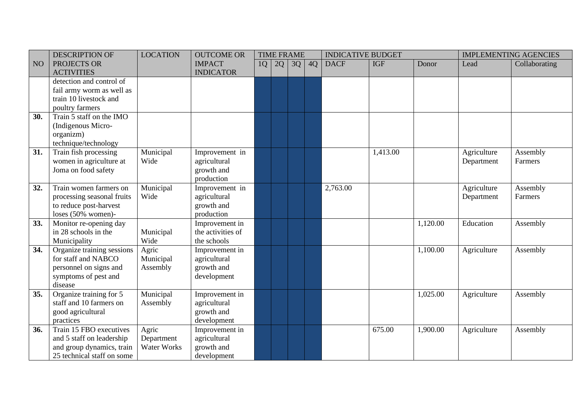|     | <b>DESCRIPTION OF</b>      | <b>LOCATION</b> | <b>OUTCOME OR</b> |    | <b>TIME FRAME</b> |    |    | <b>INDICATIVE BUDGET</b> |            |          |             | <b>IMPLEMENTING AGENCIES</b> |
|-----|----------------------------|-----------------|-------------------|----|-------------------|----|----|--------------------------|------------|----------|-------------|------------------------------|
| NO  | PROJECTS OR                |                 | <b>IMPACT</b>     | 1Q | 2Q                | 3Q | 4Q | <b>DACF</b>              | <b>IGF</b> | Donor    | Lead        | Collaborating                |
|     | <b>ACTIVITIES</b>          |                 | <b>INDICATOR</b>  |    |                   |    |    |                          |            |          |             |                              |
|     | detection and control of   |                 |                   |    |                   |    |    |                          |            |          |             |                              |
|     | fail army worm as well as  |                 |                   |    |                   |    |    |                          |            |          |             |                              |
|     | train 10 livestock and     |                 |                   |    |                   |    |    |                          |            |          |             |                              |
|     | poultry farmers            |                 |                   |    |                   |    |    |                          |            |          |             |                              |
| 30. | Train 5 staff on the IMO   |                 |                   |    |                   |    |    |                          |            |          |             |                              |
|     | (Indigenous Micro-         |                 |                   |    |                   |    |    |                          |            |          |             |                              |
|     | organizm)                  |                 |                   |    |                   |    |    |                          |            |          |             |                              |
|     | technique/technology       |                 |                   |    |                   |    |    |                          |            |          |             |                              |
| 31. | Train fish processing      | Municipal       | Improvement in    |    |                   |    |    |                          | 1,413.00   |          | Agriculture | Assembly                     |
|     | women in agriculture at    | Wide            | agricultural      |    |                   |    |    |                          |            |          | Department  | Farmers                      |
|     | Joma on food safety        |                 | growth and        |    |                   |    |    |                          |            |          |             |                              |
|     |                            |                 | production        |    |                   |    |    |                          |            |          |             |                              |
| 32. | Train women farmers on     | Municipal       | Improvement in    |    |                   |    |    | 2,763.00                 |            |          | Agriculture | Assembly                     |
|     | processing seasonal fruits | Wide            | agricultural      |    |                   |    |    |                          |            |          | Department  | Farmers                      |
|     | to reduce post-harvest     |                 | growth and        |    |                   |    |    |                          |            |          |             |                              |
|     | loses $(50\%$ women)-      |                 | production        |    |                   |    |    |                          |            |          |             |                              |
| 33. | Monitor re-opening day     |                 | Improvement in    |    |                   |    |    |                          |            | 1,120.00 | Education   | Assembly                     |
|     | in 28 schools in the       | Municipal       | the activities of |    |                   |    |    |                          |            |          |             |                              |
|     | Municipality               | Wide            | the schools       |    |                   |    |    |                          |            |          |             |                              |
| 34. | Organize training sessions | Agric           | Improvement in    |    |                   |    |    |                          |            | 1,100.00 | Agriculture | Assembly                     |
|     | for staff and NABCO        | Municipal       | agricultural      |    |                   |    |    |                          |            |          |             |                              |
|     | personnel on signs and     | Assembly        | growth and        |    |                   |    |    |                          |            |          |             |                              |
|     | symptoms of pest and       |                 | development       |    |                   |    |    |                          |            |          |             |                              |
|     | disease                    |                 |                   |    |                   |    |    |                          |            |          |             |                              |
| 35. | Organize training for 5    | Municipal       | Improvement in    |    |                   |    |    |                          |            | 1,025.00 | Agriculture | Assembly                     |
|     | staff and 10 farmers on    | Assembly        | agricultural      |    |                   |    |    |                          |            |          |             |                              |
|     | good agricultural          |                 | growth and        |    |                   |    |    |                          |            |          |             |                              |
|     | practices                  |                 | development       |    |                   |    |    |                          |            |          |             |                              |
| 36. | Train 15 FBO executives    | Agric           | Improvement in    |    |                   |    |    |                          | 675.00     | 1,900.00 | Agriculture | Assembly                     |
|     | and 5 staff on leadership  | Department      | agricultural      |    |                   |    |    |                          |            |          |             |                              |
|     | and group dynamics, train  | Water Works     | growth and        |    |                   |    |    |                          |            |          |             |                              |
|     | 25 technical staff on some |                 | development       |    |                   |    |    |                          |            |          |             |                              |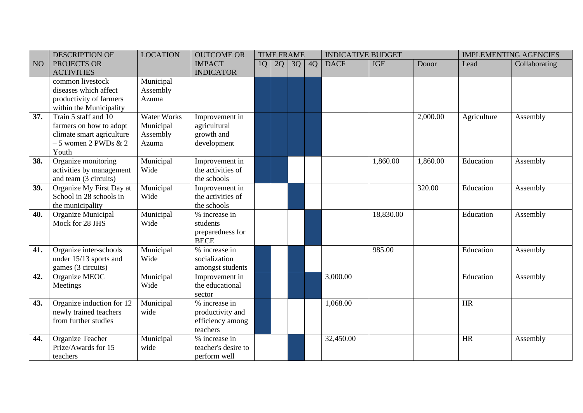|                 | <b>DESCRIPTION OF</b>     | <b>LOCATION</b>    | <b>OUTCOME OR</b>   |    |    | <b>TIME FRAME</b> |    | <b>INDICATIVE BUDGET</b> |            |          |             | <b>IMPLEMENTING AGENCIES</b> |
|-----------------|---------------------------|--------------------|---------------------|----|----|-------------------|----|--------------------------|------------|----------|-------------|------------------------------|
| NO <sub>1</sub> | PROJECTS OR               |                    | <b>IMPACT</b>       | 1Q | 2Q | 3Q                | 4Q | <b>DACF</b>              | <b>IGF</b> | Donor    | Lead        | Collaborating                |
|                 | <b>ACTIVITIES</b>         |                    | <b>INDICATOR</b>    |    |    |                   |    |                          |            |          |             |                              |
|                 | common livestock          | Municipal          |                     |    |    |                   |    |                          |            |          |             |                              |
|                 | diseases which affect     | Assembly           |                     |    |    |                   |    |                          |            |          |             |                              |
|                 | productivity of farmers   | Azuma              |                     |    |    |                   |    |                          |            |          |             |                              |
|                 | within the Municipality   |                    |                     |    |    |                   |    |                          |            |          |             |                              |
| 37.             | Train 5 staff and 10      | <b>Water Works</b> | Improvement in      |    |    |                   |    |                          |            | 2,000.00 | Agriculture | Assembly                     |
|                 | farmers on how to adopt   | Municipal          | agricultural        |    |    |                   |    |                          |            |          |             |                              |
|                 | climate smart agriculture | Assembly           | growth and          |    |    |                   |    |                          |            |          |             |                              |
|                 | $-5$ women 2 PWDs $\&$ 2  | Azuma              | development         |    |    |                   |    |                          |            |          |             |                              |
|                 | Youth                     |                    |                     |    |    |                   |    |                          |            |          |             |                              |
| 38.             | Organize monitoring       | Municipal          | Improvement in      |    |    |                   |    |                          | 1,860.00   | 1,860.00 | Education   | Assembly                     |
|                 | activities by management  | Wide               | the activities of   |    |    |                   |    |                          |            |          |             |                              |
|                 | and team (3 circuits)     |                    | the schools         |    |    |                   |    |                          |            |          |             |                              |
| 39.             | Organize My First Day at  | Municipal          | Improvement in      |    |    |                   |    |                          |            | 320.00   | Education   | Assembly                     |
|                 | School in 28 schools in   | Wide               | the activities of   |    |    |                   |    |                          |            |          |             |                              |
|                 | the municipality          |                    | the schools         |    |    |                   |    |                          |            |          |             |                              |
| 40.             | Organize Municipal        | Municipal          | % increase in       |    |    |                   |    |                          | 18,830.00  |          | Education   | Assembly                     |
|                 | Mock for 28 JHS           | Wide               | students            |    |    |                   |    |                          |            |          |             |                              |
|                 |                           |                    | preparedness for    |    |    |                   |    |                          |            |          |             |                              |
|                 |                           |                    | <b>BECE</b>         |    |    |                   |    |                          |            |          |             |                              |
| 41.             | Organize inter-schools    | Municipal          | % increase in       |    |    |                   |    |                          | 985.00     |          | Education   | Assembly                     |
|                 | under 15/13 sports and    | Wide               | socialization       |    |    |                   |    |                          |            |          |             |                              |
|                 | games (3 circuits)        |                    | amongst students    |    |    |                   |    |                          |            |          |             |                              |
| 42.             | Organize MEOC             | Municipal          | Improvement in      |    |    |                   |    | 3,000.00                 |            |          | Education   | Assembly                     |
|                 | Meetings                  | Wide               | the educational     |    |    |                   |    |                          |            |          |             |                              |
|                 |                           |                    | sector              |    |    |                   |    |                          |            |          |             |                              |
| 43.             | Organize induction for 12 | Municipal          | % increase in       |    |    |                   |    | 1,068.00                 |            |          | HR          |                              |
|                 | newly trained teachers    | wide               | productivity and    |    |    |                   |    |                          |            |          |             |                              |
|                 | from further studies      |                    | efficiency among    |    |    |                   |    |                          |            |          |             |                              |
|                 |                           |                    | teachers            |    |    |                   |    |                          |            |          |             |                              |
| 44.             | Organize Teacher          | Municipal          | % increase in       |    |    |                   |    | 32,450.00                |            |          | <b>HR</b>   | Assembly                     |
|                 | Prize/Awards for 15       | wide               | teacher's desire to |    |    |                   |    |                          |            |          |             |                              |
|                 | teachers                  |                    | perform well        |    |    |                   |    |                          |            |          |             |                              |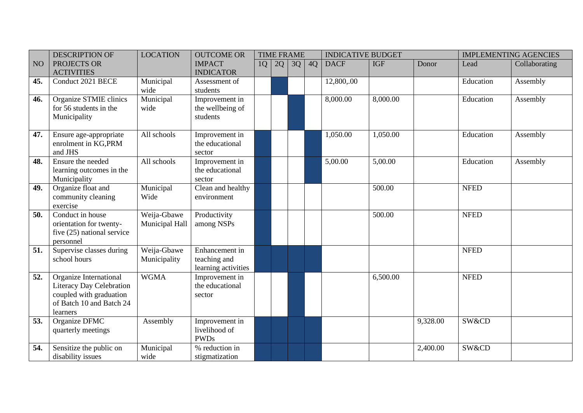|                 | <b>DESCRIPTION OF</b>                                                                                                        | <b>LOCATION</b>               | <b>OUTCOME OR</b>                                     |    | <b>TIME FRAME</b> |    |    | <b>INDICATIVE BUDGET</b> |            |          |             | <b>IMPLEMENTING AGENCIES</b> |
|-----------------|------------------------------------------------------------------------------------------------------------------------------|-------------------------------|-------------------------------------------------------|----|-------------------|----|----|--------------------------|------------|----------|-------------|------------------------------|
| NO <sub>1</sub> | PROJECTS OR<br><b>ACTIVITIES</b>                                                                                             |                               | <b>IMPACT</b><br><b>INDICATOR</b>                     | 1Q | 2Q                | 3Q | 4Q | <b>DACF</b>              | <b>IGF</b> | Donor    | Lead        | Collaborating                |
| 45.             | Conduct 2021 BECE                                                                                                            | Municipal<br>wide             | Assessment of<br>students                             |    |                   |    |    | 12,800,.00               |            |          | Education   | Assembly                     |
| 46.             | Organize STMIE clinics<br>for 56 students in the<br>Municipality                                                             | Municipal<br>wide             | Improvement in<br>the wellbeing of<br>students        |    |                   |    |    | 8,000.00                 | 8,000.00   |          | Education   | Assembly                     |
| 47.             | Ensure age-appropriate<br>enrolment in KG, PRM<br>and JHS                                                                    | All schools                   | Improvement in<br>the educational<br>sector           |    |                   |    |    | 1,050.00                 | 1,050.00   |          | Education   | Assembly                     |
| 48.             | Ensure the needed<br>learning outcomes in the<br>Municipality                                                                | All schools                   | Improvement in<br>the educational<br>sector           |    |                   |    |    | 5,00.00                  | 5,00.00    |          | Education   | Assembly                     |
| 49.             | Organize float and<br>community cleaning<br>exercise                                                                         | Municipal<br>Wide             | Clean and healthy<br>environment                      |    |                   |    |    |                          | 500.00     |          | <b>NFED</b> |                              |
| 50.             | Conduct in house<br>orientation for twenty-<br>five (25) national service<br>personnel                                       | Weija-Gbawe<br>Municipal Hall | Productivity<br>among NSPs                            |    |                   |    |    |                          | 500.00     |          | <b>NFED</b> |                              |
| 51.             | Supervise classes during<br>school hours                                                                                     | Weija-Gbawe<br>Municipality   | Enhancement in<br>teaching and<br>learning activities |    |                   |    |    |                          |            |          | <b>NFED</b> |                              |
| 52.             | Organize International<br><b>Literacy Day Celebration</b><br>coupled with graduation<br>of Batch 10 and Batch 24<br>learners | <b>WGMA</b>                   | Improvement in<br>the educational<br>sector           |    |                   |    |    |                          | 6,500.00   |          | <b>NFED</b> |                              |
| 53.             | Organize DFMC<br>quarterly meetings                                                                                          | Assembly                      | Improvement in<br>livelihood of<br><b>PWDs</b>        |    |                   |    |    |                          |            | 9,328.00 | SW&CD       |                              |
| 54.             | Sensitize the public on<br>disability issues                                                                                 | Municipal<br>wide             | % reduction in<br>stigmatization                      |    |                   |    |    |                          |            | 2,400.00 | SW&CD       |                              |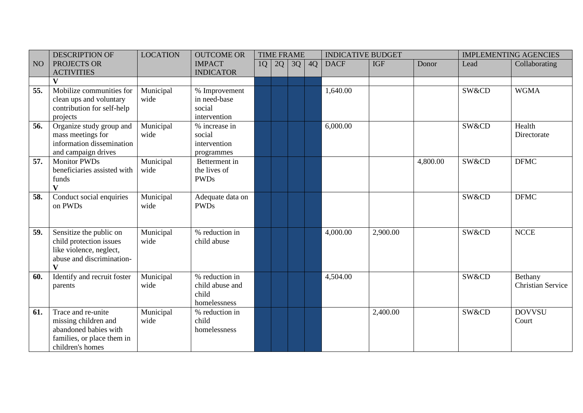|                 | <b>DESCRIPTION OF</b>                                                                                                      | <b>LOCATION</b>   | <b>OUTCOME OR</b>                                          |    | <b>TIME FRAME</b> |    |    | <b>INDICATIVE BUDGET</b> |            |          |       | <b>IMPLEMENTING AGENCIES</b>        |
|-----------------|----------------------------------------------------------------------------------------------------------------------------|-------------------|------------------------------------------------------------|----|-------------------|----|----|--------------------------|------------|----------|-------|-------------------------------------|
| NO <sub>1</sub> | PROJECTS OR<br><b>ACTIVITIES</b>                                                                                           |                   | <b>IMPACT</b><br><b>INDICATOR</b>                          | 1Q | 2Q                | 3Q | 4Q | <b>DACF</b>              | <b>IGF</b> | Donor    | Lead  | Collaborating                       |
|                 | $\overline{\mathbf{V}}$                                                                                                    |                   |                                                            |    |                   |    |    |                          |            |          |       |                                     |
| 55.             | Mobilize communities for<br>clean ups and voluntary<br>contribution for self-help<br>projects                              | Municipal<br>wide | % Improvement<br>in need-base<br>social<br>intervention    |    |                   |    |    | 1,640.00                 |            |          | SW&CD | <b>WGMA</b>                         |
| 56.             | Organize study group and<br>mass meetings for<br>information dissemination<br>and campaign drives                          | Municipal<br>wide | % increase in<br>social<br>intervention<br>programmes      |    |                   |    |    | 6,000.00                 |            |          | SW&CD | Health<br>Directorate               |
| 57.             | <b>Monitor PWDs</b><br>beneficiaries assisted with<br>funds<br>$\overline{\mathbf{V}}$                                     | Municipal<br>wide | Betterment in<br>the lives of<br><b>PWDs</b>               |    |                   |    |    |                          |            | 4,800.00 | SW&CD | <b>DFMC</b>                         |
| 58.             | Conduct social enquiries<br>on PWDs                                                                                        | Municipal<br>wide | Adequate data on<br><b>PWDs</b>                            |    |                   |    |    |                          |            |          | SW&CD | <b>DFMC</b>                         |
| 59.             | Sensitize the public on<br>child protection issues<br>like violence, neglect,<br>abuse and discrimination-<br>$\mathbf{V}$ | Municipal<br>wide | % reduction in<br>child abuse                              |    |                   |    |    | 4,000.00                 | 2,900.00   |          | SW&CD | <b>NCCE</b>                         |
| 60.             | Identify and recruit foster<br>parents                                                                                     | Municipal<br>wide | % reduction in<br>child abuse and<br>child<br>homelessness |    |                   |    |    | 4,504.00                 |            |          | SW&CD | Bethany<br><b>Christian Service</b> |
| 61.             | Trace and re-unite<br>missing children and<br>abandoned babies with<br>families, or place them in<br>children's homes      | Municipal<br>wide | % reduction in<br>child<br>homelessness                    |    |                   |    |    |                          | 2,400.00   |          | SW&CD | <b>DOVVSU</b><br>Court              |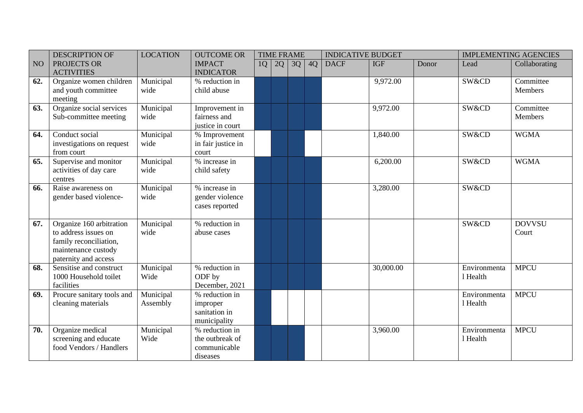|                 | <b>DESCRIPTION OF</b>                                                                                                     | <b>LOCATION</b>       | <b>OUTCOME OR</b>                                             |    |    | <b>TIME FRAME</b> |    | <b>INDICATIVE BUDGET</b> |            |       |                          | <b>IMPLEMENTING AGENCIES</b> |
|-----------------|---------------------------------------------------------------------------------------------------------------------------|-----------------------|---------------------------------------------------------------|----|----|-------------------|----|--------------------------|------------|-------|--------------------------|------------------------------|
| NO <sub>1</sub> | PROJECTS OR<br><b>ACTIVITIES</b>                                                                                          |                       | <b>IMPACT</b><br><b>INDICATOR</b>                             | 1Q | 2Q | 3Q                | 4Q | <b>DACF</b>              | <b>IGF</b> | Donor | Lead                     | Collaborating                |
| 62.             | Organize women children<br>and youth committee<br>meeting                                                                 | Municipal<br>wide     | % reduction in<br>child abuse                                 |    |    |                   |    |                          | 9,972.00   |       | SW&CD                    | Committee<br>Members         |
| 63.             | Organize social services<br>Sub-committee meeting                                                                         | Municipal<br>wide     | Improvement in<br>fairness and<br>justice in court            |    |    |                   |    |                          | 9,972.00   |       | SW&CD                    | Committee<br>Members         |
| 64.             | Conduct social<br>investigations on request<br>from court                                                                 | Municipal<br>wide     | % Improvement<br>in fair justice in<br>court                  |    |    |                   |    |                          | 1,840.00   |       | SW&CD                    | <b>WGMA</b>                  |
| 65.             | Supervise and monitor<br>activities of day care<br>centres                                                                | Municipal<br>wide     | % increase in<br>child safety                                 |    |    |                   |    |                          | 6,200.00   |       | SW&CD                    | <b>WGMA</b>                  |
| 66.             | Raise awareness on<br>gender based violence-                                                                              | Municipal<br>wide     | % increase in<br>gender violence<br>cases reported            |    |    |                   |    |                          | 3,280.00   |       | SW&CD                    |                              |
| 67.             | Organize 160 arbitration<br>to address issues on<br>family reconciliation,<br>maintenance custody<br>paternity and access | Municipal<br>wide     | % reduction in<br>abuse cases                                 |    |    |                   |    |                          |            |       | SW&CD                    | <b>DOVVSU</b><br>Court       |
| 68.             | Sensitise and construct<br>1000 Household toilet<br>facilities                                                            | Municipal<br>Wide     | % reduction in<br>ODF by<br>December, 2021                    |    |    |                   |    |                          | 30,000.00  |       | Environmenta<br>1 Health | <b>MPCU</b>                  |
| 69.             | Procure sanitary tools and<br>cleaning materials                                                                          | Municipal<br>Assembly | % reduction in<br>improper<br>sanitation in<br>municipality   |    |    |                   |    |                          |            |       | Environmenta<br>1 Health | <b>MPCU</b>                  |
| 70.             | Organize medical<br>screening and educate<br>food Vendors / Handlers                                                      | Municipal<br>Wide     | % reduction in<br>the outbreak of<br>communicable<br>diseases |    |    |                   |    |                          | 3,960.00   |       | Environmenta<br>1 Health | <b>MPCU</b>                  |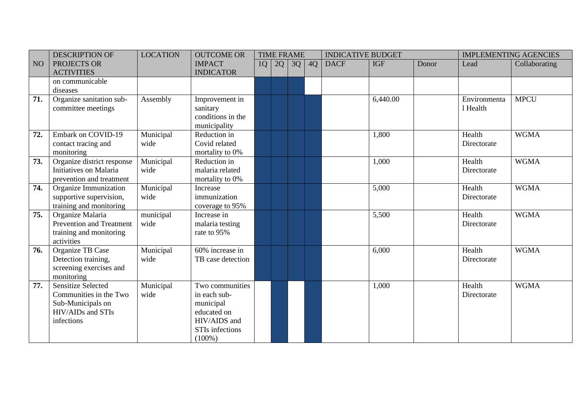|     | <b>DESCRIPTION OF</b>      | <b>LOCATION</b> | <b>OUTCOME OR</b> |    |    | <b>TIME FRAME</b> |    | <b>INDICATIVE BUDGET</b> |            |       | <b>IMPLEMENTING AGENCIES</b> |               |
|-----|----------------------------|-----------------|-------------------|----|----|-------------------|----|--------------------------|------------|-------|------------------------------|---------------|
| NO  | PROJECTS OR                |                 | <b>IMPACT</b>     | 1Q | 2Q | 3Q                | 4Q | <b>DACF</b>              | <b>IGF</b> | Donor | Lead                         | Collaborating |
|     | <b>ACTIVITIES</b>          |                 | <b>INDICATOR</b>  |    |    |                   |    |                          |            |       |                              |               |
|     | on communicable            |                 |                   |    |    |                   |    |                          |            |       |                              |               |
|     | diseases                   |                 |                   |    |    |                   |    |                          |            |       |                              |               |
| 71. | Organize sanitation sub-   | Assembly        | Improvement in    |    |    |                   |    |                          | 6,440.00   |       | Environmenta                 | <b>MPCU</b>   |
|     | committee meetings         |                 | sanitary          |    |    |                   |    |                          |            |       | 1 Health                     |               |
|     |                            |                 | conditions in the |    |    |                   |    |                          |            |       |                              |               |
|     |                            |                 | municipality      |    |    |                   |    |                          |            |       |                              |               |
| 72. | <b>Embark on COVID-19</b>  | Municipal       | Reduction in      |    |    |                   |    |                          | 1,800      |       | Health                       | <b>WGMA</b>   |
|     | contact tracing and        | wide            | Covid related     |    |    |                   |    |                          |            |       | Directorate                  |               |
|     | monitoring                 |                 | mortality to 0%   |    |    |                   |    |                          |            |       |                              |               |
| 73. | Organize district response | Municipal       | Reduction in      |    |    |                   |    |                          | 1,000      |       | Health                       | <b>WGMA</b>   |
|     | Initiatives on Malaria     | wide            | malaria related   |    |    |                   |    |                          |            |       | Directorate                  |               |
|     | prevention and treatment   |                 | mortality to 0%   |    |    |                   |    |                          |            |       |                              |               |
| 74. | Organize Immunization      | Municipal       | Increase          |    |    |                   |    |                          | 5,000      |       | Health                       | <b>WGMA</b>   |
|     | supportive supervision,    | wide            | immunization      |    |    |                   |    |                          |            |       | Directorate                  |               |
|     | training and monitoring    |                 | coverage to 95%   |    |    |                   |    |                          |            |       |                              |               |
| 75. | Organize Malaria           | municipal       | Increase in       |    |    |                   |    |                          | 5,500      |       | Health                       | <b>WGMA</b>   |
|     | Prevention and Treatment   | wide            | malaria testing   |    |    |                   |    |                          |            |       | Directorate                  |               |
|     | training and monitoring    |                 | rate to 95%       |    |    |                   |    |                          |            |       |                              |               |
|     | activities                 |                 |                   |    |    |                   |    |                          |            |       |                              |               |
| 76. | Organize TB Case           | Municipal       | 60% increase in   |    |    |                   |    |                          | 6,000      |       | Health                       | <b>WGMA</b>   |
|     | Detection training,        | wide            | TB case detection |    |    |                   |    |                          |            |       | Directorate                  |               |
|     | screening exercises and    |                 |                   |    |    |                   |    |                          |            |       |                              |               |
|     | monitoring                 |                 |                   |    |    |                   |    |                          |            |       |                              |               |
| 77. | <b>Sensitize Selected</b>  | Municipal       | Two communities   |    |    |                   |    |                          | 1,000      |       | Health                       | <b>WGMA</b>   |
|     | Communities in the Two     | wide            | in each sub-      |    |    |                   |    |                          |            |       | Directorate                  |               |
|     | Sub-Municipals on          |                 | municipal         |    |    |                   |    |                          |            |       |                              |               |
|     | HIV/AIDs and STIs          |                 | educated on       |    |    |                   |    |                          |            |       |                              |               |
|     | infections                 |                 | HIV/AIDS and      |    |    |                   |    |                          |            |       |                              |               |
|     |                            |                 | STIs infections   |    |    |                   |    |                          |            |       |                              |               |
|     |                            |                 | $(100\%)$         |    |    |                   |    |                          |            |       |                              |               |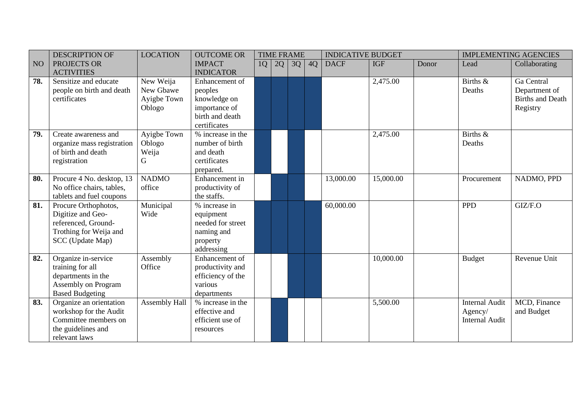|     | <b>DESCRIPTION OF</b>      | <b>LOCATION</b> | <b>OUTCOME OR</b> |    | <b>TIME FRAME</b> |    |    | <b>INDICATIVE BUDGET</b> |            |       | <b>IMPLEMENTING AGENCIES</b> |                         |
|-----|----------------------------|-----------------|-------------------|----|-------------------|----|----|--------------------------|------------|-------|------------------------------|-------------------------|
| NO  | PROJECTS OR                |                 | <b>IMPACT</b>     | 1Q | 2Q                | 3Q | 4Q | <b>DACF</b>              | <b>IGF</b> | Donor | Lead                         | Collaborating           |
|     | <b>ACTIVITIES</b>          |                 | <b>INDICATOR</b>  |    |                   |    |    |                          |            |       |                              |                         |
| 78. | Sensitize and educate      | New Weija       | Enhancement of    |    |                   |    |    |                          | 2,475.00   |       | Births &                     | Ga Central              |
|     | people on birth and death  | New Gbawe       | peoples           |    |                   |    |    |                          |            |       | Deaths                       | Department of           |
|     | certificates               | Ayigbe Town     | knowledge on      |    |                   |    |    |                          |            |       |                              | <b>Births and Death</b> |
|     |                            | Oblogo          | importance of     |    |                   |    |    |                          |            |       |                              | Registry                |
|     |                            |                 | birth and death   |    |                   |    |    |                          |            |       |                              |                         |
|     |                            |                 | certificates      |    |                   |    |    |                          |            |       |                              |                         |
| 79. | Create awareness and       | Ayigbe Town     | % increase in the |    |                   |    |    |                          | 2,475.00   |       | Births &                     |                         |
|     | organize mass registration | Oblogo          | number of birth   |    |                   |    |    |                          |            |       | Deaths                       |                         |
|     | of birth and death         | Weija           | and death         |    |                   |    |    |                          |            |       |                              |                         |
|     | registration               | G               | certificates      |    |                   |    |    |                          |            |       |                              |                         |
|     |                            |                 | prepared.         |    |                   |    |    |                          |            |       |                              |                         |
| 80. | Procure 4 No. desktop, 13  | <b>NADMO</b>    | Enhancement in    |    |                   |    |    | 13,000.00                | 15,000.00  |       | Procurement                  | NADMO, PPD              |
|     | No office chairs, tables,  | office          | productivity of   |    |                   |    |    |                          |            |       |                              |                         |
|     | tablets and fuel coupons   |                 | the staffs.       |    |                   |    |    |                          |            |       |                              |                         |
| 81. | Procure Orthophotos,       | Municipal       | % increase in     |    |                   |    |    | 60,000.00                |            |       | <b>PPD</b>                   | GIZ/F.O                 |
|     | Digitize and Geo-          | Wide            | equipment         |    |                   |    |    |                          |            |       |                              |                         |
|     | referenced, Ground-        |                 | needed for street |    |                   |    |    |                          |            |       |                              |                         |
|     | Trothing for Weija and     |                 | naming and        |    |                   |    |    |                          |            |       |                              |                         |
|     | SCC (Update Map)           |                 | property          |    |                   |    |    |                          |            |       |                              |                         |
|     |                            |                 | addressing        |    |                   |    |    |                          |            |       |                              |                         |
| 82. | Organize in-service        | Assembly        | Enhancement of    |    |                   |    |    |                          | 10,000.00  |       | <b>Budget</b>                | Revenue Unit            |
|     | training for all           | Office          | productivity and  |    |                   |    |    |                          |            |       |                              |                         |
|     | departments in the         |                 | efficiency of the |    |                   |    |    |                          |            |       |                              |                         |
|     | Assembly on Program        |                 | various           |    |                   |    |    |                          |            |       |                              |                         |
|     | <b>Based Budgeting</b>     |                 | departments       |    |                   |    |    |                          |            |       |                              |                         |
| 83. | Organize an orientation    | Assembly Hall   | % increase in the |    |                   |    |    |                          | 5,500.00   |       | <b>Internal Audit</b>        | MCD, Finance            |
|     | workshop for the Audit     |                 | effective and     |    |                   |    |    |                          |            |       | Agency/                      | and Budget              |
|     | Committee members on       |                 | efficient use of  |    |                   |    |    |                          |            |       | <b>Internal Audit</b>        |                         |
|     | the guidelines and         |                 | resources         |    |                   |    |    |                          |            |       |                              |                         |
|     | relevant laws              |                 |                   |    |                   |    |    |                          |            |       |                              |                         |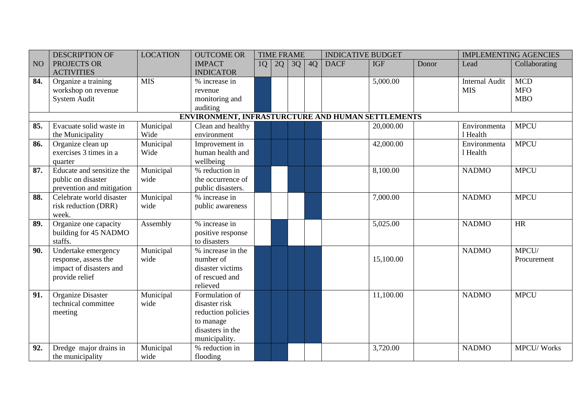|                   | <b>DESCRIPTION OF</b>     | <b>LOCATION</b> | <b>OUTCOME OR</b>                                 |    |    | <b>TIME FRAME</b> |    | <b>INDICATIVE BUDGET</b> |            |       |                       | <b>IMPLEMENTING AGENCIES</b> |
|-------------------|---------------------------|-----------------|---------------------------------------------------|----|----|-------------------|----|--------------------------|------------|-------|-----------------------|------------------------------|
| NO                | PROJECTS OR               |                 | <b>IMPACT</b>                                     | 1Q | 2Q | 3Q                | 4Q | <b>DACF</b>              | <b>IGF</b> | Donor | Lead                  | Collaborating                |
|                   | <b>ACTIVITIES</b>         |                 | <b>INDICATOR</b>                                  |    |    |                   |    |                          |            |       |                       |                              |
| 84.               | Organize a training       | <b>MIS</b>      | % increase in                                     |    |    |                   |    |                          | 5,000.00   |       | <b>Internal Audit</b> | <b>MCD</b>                   |
|                   | workshop on revenue       |                 | revenue                                           |    |    |                   |    |                          |            |       | <b>MIS</b>            | <b>MFO</b>                   |
|                   | System Audit              |                 | monitoring and                                    |    |    |                   |    |                          |            |       |                       | <b>MBO</b>                   |
|                   |                           |                 | auditing                                          |    |    |                   |    |                          |            |       |                       |                              |
|                   |                           |                 | ENVIRONMENT, INFRASTURCTURE AND HUMAN SETTLEMENTS |    |    |                   |    |                          |            |       |                       |                              |
| 85.               | Evacuate solid waste in   | Municipal       | Clean and healthy                                 |    |    |                   |    |                          | 20,000.00  |       | Environmenta          | <b>MPCU</b>                  |
|                   | the Municipality          | Wide            | environment                                       |    |    |                   |    |                          |            |       | 1 Health              |                              |
| 86.               | Organize clean up         | Municipal       | Improvement in                                    |    |    |                   |    |                          | 42,000.00  |       | Environmenta          | <b>MPCU</b>                  |
|                   | exercises 3 times in a    | Wide            | human health and                                  |    |    |                   |    |                          |            |       | 1 Health              |                              |
|                   | quarter                   |                 | wellbeing                                         |    |    |                   |    |                          |            |       |                       |                              |
| 87.               | Educate and sensitize the | Municipal       | % reduction in                                    |    |    |                   |    |                          | 8,100.00   |       | <b>NADMO</b>          | <b>MPCU</b>                  |
|                   | public on disaster        | wide            | the occurrence of                                 |    |    |                   |    |                          |            |       |                       |                              |
|                   | prevention and mitigation |                 | public disasters.                                 |    |    |                   |    |                          |            |       |                       |                              |
| 88.               | Celebrate world disaster  | Municipal       | % increase in                                     |    |    |                   |    |                          | 7,000.00   |       | <b>NADMO</b>          | <b>MPCU</b>                  |
|                   | risk reduction (DRR)      | wide            | public awareness                                  |    |    |                   |    |                          |            |       |                       |                              |
|                   | week.                     |                 |                                                   |    |    |                   |    |                          |            |       |                       |                              |
| 89.               | Organize one capacity     | Assembly        | % increase in                                     |    |    |                   |    |                          | 5,025.00   |       | <b>NADMO</b>          | HR                           |
|                   | building for 45 NADMO     |                 | positive response                                 |    |    |                   |    |                          |            |       |                       |                              |
|                   | staffs.                   |                 | to disasters                                      |    |    |                   |    |                          |            |       |                       |                              |
| 90.               | Undertake emergency       | Municipal       | % increase in the                                 |    |    |                   |    |                          |            |       | <b>NADMO</b>          | MPCU/                        |
|                   | response, assess the      | wide            | number of                                         |    |    |                   |    |                          | 15,100.00  |       |                       | Procurement                  |
|                   | impact of disasters and   |                 | disaster victims                                  |    |    |                   |    |                          |            |       |                       |                              |
|                   | provide relief            |                 | of rescued and                                    |    |    |                   |    |                          |            |       |                       |                              |
|                   |                           |                 | relieved                                          |    |    |                   |    |                          |            |       |                       |                              |
| 91.               | Organize Disaster         | Municipal       | Formulation of                                    |    |    |                   |    |                          | 11,100.00  |       | <b>NADMO</b>          | <b>MPCU</b>                  |
|                   | technical committee       | wide            | disaster risk                                     |    |    |                   |    |                          |            |       |                       |                              |
|                   | meeting                   |                 | reduction policies                                |    |    |                   |    |                          |            |       |                       |                              |
|                   |                           |                 | to manage                                         |    |    |                   |    |                          |            |       |                       |                              |
|                   |                           |                 | disasters in the                                  |    |    |                   |    |                          |            |       |                       |                              |
|                   |                           |                 | municipality.                                     |    |    |                   |    |                          |            |       |                       |                              |
| $\overline{92}$ . | Dredge major drains in    | Municipal       | % reduction in                                    |    |    |                   |    |                          | 3,720.00   |       | <b>NADMO</b>          | <b>MPCU/Works</b>            |
|                   | the municipality          | wide            | flooding                                          |    |    |                   |    |                          |            |       |                       |                              |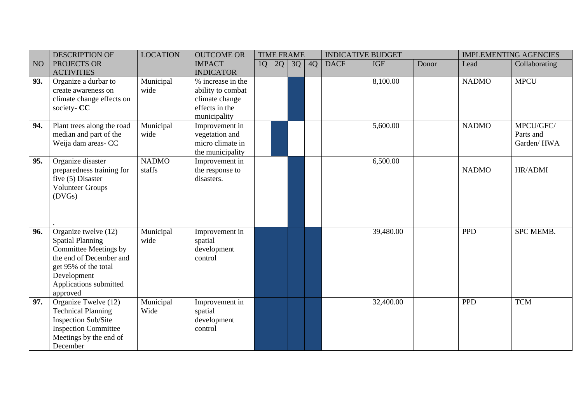|                 | <b>DESCRIPTION OF</b>             | <b>LOCATION</b> | <b>OUTCOME OR</b> |    | <b>TIME FRAME</b> |    |    | <b>INDICATIVE BUDGET</b> |            |       |              | <b>IMPLEMENTING AGENCIES</b> |
|-----------------|-----------------------------------|-----------------|-------------------|----|-------------------|----|----|--------------------------|------------|-------|--------------|------------------------------|
| NO <sub>1</sub> | PROJECTS OR                       |                 | <b>IMPACT</b>     | 1Q | 2Q                | 3Q | 4Q | <b>DACF</b>              | <b>IGF</b> | Donor | Lead         | Collaborating                |
|                 | <b>ACTIVITIES</b>                 |                 | <b>INDICATOR</b>  |    |                   |    |    |                          |            |       |              |                              |
| 93.             | Organize a durbar to              | Municipal       | % increase in the |    |                   |    |    |                          | 8,100.00   |       | <b>NADMO</b> | <b>MPCU</b>                  |
|                 | create awareness on               | wide            | ability to combat |    |                   |    |    |                          |            |       |              |                              |
|                 | climate change effects on         |                 | climate change    |    |                   |    |    |                          |            |       |              |                              |
|                 | society- CC                       |                 | effects in the    |    |                   |    |    |                          |            |       |              |                              |
|                 |                                   |                 | municipality      |    |                   |    |    |                          |            |       |              |                              |
| 94.             | Plant trees along the road        | Municipal       | Improvement in    |    |                   |    |    |                          | 5,600.00   |       | <b>NADMO</b> | MPCU/GFC/                    |
|                 | median and part of the            | wide            | vegetation and    |    |                   |    |    |                          |            |       |              | Parts and                    |
|                 | Weija dam areas- CC               |                 | micro climate in  |    |                   |    |    |                          |            |       |              | Garden/HWA                   |
|                 |                                   |                 | the municipality  |    |                   |    |    |                          |            |       |              |                              |
| 95.             | Organize disaster                 | <b>NADMO</b>    | Improvement in    |    |                   |    |    |                          | 6,500.00   |       |              |                              |
|                 | preparedness training for         | staffs          | the response to   |    |                   |    |    |                          |            |       | <b>NADMO</b> | HR/ADMI                      |
|                 | five $(5)$ Disaster               |                 | disasters.        |    |                   |    |    |                          |            |       |              |                              |
|                 | <b>Volunteer Groups</b><br>(DVGs) |                 |                   |    |                   |    |    |                          |            |       |              |                              |
|                 |                                   |                 |                   |    |                   |    |    |                          |            |       |              |                              |
|                 |                                   |                 |                   |    |                   |    |    |                          |            |       |              |                              |
|                 |                                   |                 |                   |    |                   |    |    |                          |            |       |              |                              |
| 96.             | Organize twelve (12)              | Municipal       | Improvement in    |    |                   |    |    |                          | 39,480.00  |       | <b>PPD</b>   | <b>SPC MEMB.</b>             |
|                 | <b>Spatial Planning</b>           | wide            | spatial           |    |                   |    |    |                          |            |       |              |                              |
|                 | Committee Meetings by             |                 | development       |    |                   |    |    |                          |            |       |              |                              |
|                 | the end of December and           |                 | control           |    |                   |    |    |                          |            |       |              |                              |
|                 | get 95% of the total              |                 |                   |    |                   |    |    |                          |            |       |              |                              |
|                 | Development                       |                 |                   |    |                   |    |    |                          |            |       |              |                              |
|                 | Applications submitted            |                 |                   |    |                   |    |    |                          |            |       |              |                              |
|                 | approved                          |                 |                   |    |                   |    |    |                          |            |       |              |                              |
| 97.             | Organize Twelve (12)              | Municipal       | Improvement in    |    |                   |    |    |                          | 32,400.00  |       | <b>PPD</b>   | <b>TCM</b>                   |
|                 | <b>Technical Planning</b>         | Wide            | spatial           |    |                   |    |    |                          |            |       |              |                              |
|                 | <b>Inspection Sub/Site</b>        |                 | development       |    |                   |    |    |                          |            |       |              |                              |
|                 | <b>Inspection Committee</b>       |                 | control           |    |                   |    |    |                          |            |       |              |                              |
|                 | Meetings by the end of            |                 |                   |    |                   |    |    |                          |            |       |              |                              |
|                 | December                          |                 |                   |    |                   |    |    |                          |            |       |              |                              |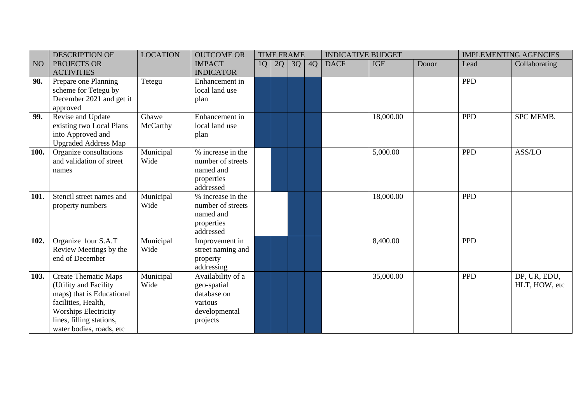|      | <b>DESCRIPTION OF</b>       | <b>LOCATION</b> | <b>OUTCOME OR</b> |    |    | <b>TIME FRAME</b> |    | <b>INDICATIVE BUDGET</b> |            |       |            | <b>IMPLEMENTING AGENCIES</b> |
|------|-----------------------------|-----------------|-------------------|----|----|-------------------|----|--------------------------|------------|-------|------------|------------------------------|
| NO   | PROJECTS OR                 |                 | <b>IMPACT</b>     | 1Q | 2Q | 3Q                | 4Q | <b>DACF</b>              | <b>IGF</b> | Donor | Lead       | Collaborating                |
|      | <b>ACTIVITIES</b>           |                 | <b>INDICATOR</b>  |    |    |                   |    |                          |            |       |            |                              |
| 98.  | Prepare one Planning        | Tetegu          | Enhancement in    |    |    |                   |    |                          |            |       | <b>PPD</b> |                              |
|      | scheme for Tetegu by        |                 | local land use    |    |    |                   |    |                          |            |       |            |                              |
|      | December 2021 and get it    |                 | plan              |    |    |                   |    |                          |            |       |            |                              |
|      | approved                    |                 |                   |    |    |                   |    |                          |            |       |            |                              |
| 99.  | Revise and Update           | Gbawe           | Enhancement in    |    |    |                   |    |                          | 18,000.00  |       | <b>PPD</b> | <b>SPC MEMB.</b>             |
|      | existing two Local Plans    | McCarthy        | local land use    |    |    |                   |    |                          |            |       |            |                              |
|      | into Approved and           |                 | plan              |    |    |                   |    |                          |            |       |            |                              |
|      | <b>Upgraded Address Map</b> |                 |                   |    |    |                   |    |                          |            |       |            |                              |
| 100. | Organize consultations      | Municipal       | % increase in the |    |    |                   |    |                          | 5,000.00   |       | <b>PPD</b> | ASS/LO                       |
|      | and validation of street    | Wide            | number of streets |    |    |                   |    |                          |            |       |            |                              |
|      | names                       |                 | named and         |    |    |                   |    |                          |            |       |            |                              |
|      |                             |                 | properties        |    |    |                   |    |                          |            |       |            |                              |
|      |                             |                 | addressed         |    |    |                   |    |                          |            |       |            |                              |
| 101. | Stencil street names and    | Municipal       | % increase in the |    |    |                   |    |                          | 18,000.00  |       | <b>PPD</b> |                              |
|      | property numbers            | Wide            | number of streets |    |    |                   |    |                          |            |       |            |                              |
|      |                             |                 | named and         |    |    |                   |    |                          |            |       |            |                              |
|      |                             |                 | properties        |    |    |                   |    |                          |            |       |            |                              |
|      |                             |                 | addressed         |    |    |                   |    |                          |            |       |            |                              |
| 102. | Organize four S.A.T         | Municipal       | Improvement in    |    |    |                   |    |                          | 8,400.00   |       | <b>PPD</b> |                              |
|      | Review Meetings by the      | Wide            | street naming and |    |    |                   |    |                          |            |       |            |                              |
|      | end of December             |                 | property          |    |    |                   |    |                          |            |       |            |                              |
|      |                             |                 | addressing        |    |    |                   |    |                          |            |       |            |                              |
| 103. | <b>Create Thematic Maps</b> | Municipal       | Availability of a |    |    |                   |    |                          | 35,000.00  |       | <b>PPD</b> | DP, UR, EDU,                 |
|      | (Utility and Facility       | Wide            | geo-spatial       |    |    |                   |    |                          |            |       |            | HLT, HOW, etc                |
|      | maps) that is Educational   |                 | database on       |    |    |                   |    |                          |            |       |            |                              |
|      | facilities, Health,         |                 | various           |    |    |                   |    |                          |            |       |            |                              |
|      | <b>Worships Electricity</b> |                 | developmental     |    |    |                   |    |                          |            |       |            |                              |
|      | lines, filling stations,    |                 | projects          |    |    |                   |    |                          |            |       |            |                              |
|      | water bodies, roads, etc    |                 |                   |    |    |                   |    |                          |            |       |            |                              |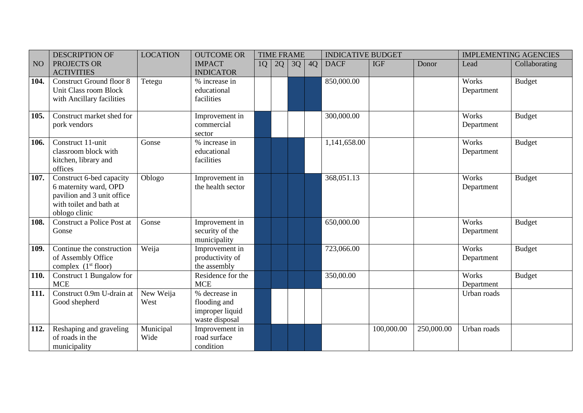|      | <b>DESCRIPTION OF</b>           | <b>LOCATION</b> | <b>OUTCOME OR</b> |    | <b>TIME FRAME</b> |    |    | <b>INDICATIVE BUDGET</b> |            |            |             | <b>IMPLEMENTING AGENCIES</b> |
|------|---------------------------------|-----------------|-------------------|----|-------------------|----|----|--------------------------|------------|------------|-------------|------------------------------|
| NO   | PROJECTS OR                     |                 | <b>IMPACT</b>     | 1Q | 2Q                | 3Q | 4Q | <b>DACF</b>              | <b>IGF</b> | Donor      | Lead        | Collaborating                |
|      | <b>ACTIVITIES</b>               |                 | <b>INDICATOR</b>  |    |                   |    |    |                          |            |            |             |                              |
| 104. | <b>Construct Ground floor 8</b> | Tetegu          | % increase in     |    |                   |    |    | 850,000.00               |            |            | Works       | <b>Budget</b>                |
|      | Unit Class room Block           |                 | educational       |    |                   |    |    |                          |            |            | Department  |                              |
|      | with Ancillary facilities       |                 | facilities        |    |                   |    |    |                          |            |            |             |                              |
| 105. | Construct market shed for       |                 | Improvement in    |    |                   |    |    | 300,000.00               |            |            | Works       | <b>Budget</b>                |
|      | pork vendors                    |                 | commercial        |    |                   |    |    |                          |            |            | Department  |                              |
|      |                                 |                 | sector            |    |                   |    |    |                          |            |            |             |                              |
| 106. | Construct 11-unit               | Gonse           | % increase in     |    |                   |    |    | 1,141,658.00             |            |            | Works       | <b>Budget</b>                |
|      | classroom block with            |                 | educational       |    |                   |    |    |                          |            |            | Department  |                              |
|      | kitchen, library and            |                 | facilities        |    |                   |    |    |                          |            |            |             |                              |
|      | offices                         |                 |                   |    |                   |    |    |                          |            |            |             |                              |
| 107. | Construct 6-bed capacity        | Oblogo          | Improvement in    |    |                   |    |    | 368,051.13               |            |            | Works       | <b>Budget</b>                |
|      | 6 maternity ward, OPD           |                 | the health sector |    |                   |    |    |                          |            |            | Department  |                              |
|      | pavilion and 3 unit office      |                 |                   |    |                   |    |    |                          |            |            |             |                              |
|      | with toilet and bath at         |                 |                   |    |                   |    |    |                          |            |            |             |                              |
|      | oblogo clinic                   |                 |                   |    |                   |    |    |                          |            |            |             |                              |
| 108. | Construct a Police Post at      | Gonse           | Improvement in    |    |                   |    |    | 650,000.00               |            |            | Works       | <b>Budget</b>                |
|      | Gonse                           |                 | security of the   |    |                   |    |    |                          |            |            | Department  |                              |
|      |                                 |                 | municipality      |    |                   |    |    |                          |            |            |             |                              |
| 109. | Continue the construction       | Weija           | Improvement in    |    |                   |    |    | 723,066.00               |            |            | Works       | <b>Budget</b>                |
|      | of Assembly Office              |                 | productivity of   |    |                   |    |    |                          |            |            | Department  |                              |
|      | complex $(1st floor)$           |                 | the assembly      |    |                   |    |    |                          |            |            |             |                              |
| 110. | Construct 1 Bungalow for        |                 | Residence for the |    |                   |    |    | 350,00.00                |            |            | Works       | <b>Budget</b>                |
|      | <b>MCE</b>                      |                 | <b>MCE</b>        |    |                   |    |    |                          |            |            | Department  |                              |
| 111. | Construct 0.9m U-drain at       | New Weija       | % decrease in     |    |                   |    |    |                          |            |            | Urban roads |                              |
|      | Good shepherd                   | West            | flooding and      |    |                   |    |    |                          |            |            |             |                              |
|      |                                 |                 | improper liquid   |    |                   |    |    |                          |            |            |             |                              |
|      |                                 |                 | waste disposal    |    |                   |    |    |                          |            |            |             |                              |
| 112. | Reshaping and graveling         | Municipal       | Improvement in    |    |                   |    |    |                          | 100,000.00 | 250,000.00 | Urban roads |                              |
|      | of roads in the                 | Wide            | road surface      |    |                   |    |    |                          |            |            |             |                              |
|      | municipality                    |                 | condition         |    |                   |    |    |                          |            |            |             |                              |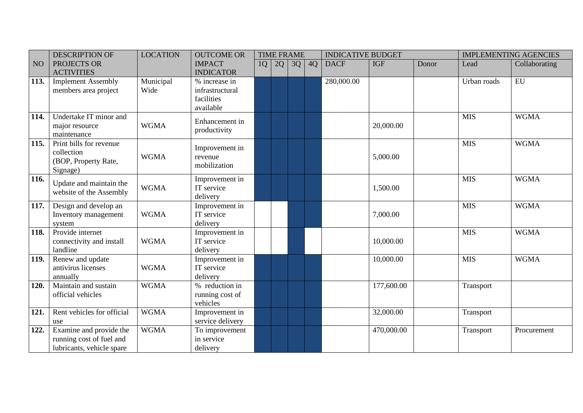|      | <b>DESCRIPTION OF</b>                                                            | <b>LOCATION</b>   | <b>OUTCOME OR</b>                                           |    | <b>TIME FRAME</b> |    |    | <b>INDICATIVE BUDGET</b> |            |       |             | <b>IMPLEMENTING AGENCIES</b> |
|------|----------------------------------------------------------------------------------|-------------------|-------------------------------------------------------------|----|-------------------|----|----|--------------------------|------------|-------|-------------|------------------------------|
| NO   | PROJECTS OR<br><b>ACTIVITIES</b>                                                 |                   | <b>IMPACT</b><br><b>INDICATOR</b>                           | 1Q | 2Q                | 3Q | 4Q | <b>DACF</b>              | <b>IGF</b> | Donor | Lead        | Collaborating                |
| 113. | <b>Implement Assembly</b><br>members area project                                | Municipal<br>Wide | % increase in<br>infrastructural<br>facilities<br>available |    |                   |    |    | 280,000.00               |            |       | Urban roads | EU                           |
| 114. | Undertake IT minor and<br>major resource<br>maintenance                          | <b>WGMA</b>       | Enhancement in<br>productivity                              |    |                   |    |    |                          | 20,000.00  |       | <b>MIS</b>  | <b>WGMA</b>                  |
| 115. | Print bills for revenue<br>collection<br>(BOP, Property Rate,<br>Signage)        | <b>WGMA</b>       | Improvement in<br>revenue<br>mobilization                   |    |                   |    |    |                          | 5,000.00   |       | <b>MIS</b>  | <b>WGMA</b>                  |
| 116. | Update and maintain the<br>website of the Assembly                               | <b>WGMA</b>       | Improvement in<br>IT service<br>delivery                    |    |                   |    |    |                          | 1,500.00   |       | <b>MIS</b>  | <b>WGMA</b>                  |
| 117. | Design and develop an<br>Inventory management<br>system                          | <b>WGMA</b>       | Improvement in<br>IT service<br>delivery                    |    |                   |    |    |                          | 7,000.00   |       | <b>MIS</b>  | <b>WGMA</b>                  |
| 118. | Provide internet<br>connectivity and install<br>landline                         | <b>WGMA</b>       | Improvement in<br>IT service<br>delivery                    |    |                   |    |    |                          | 10,000.00  |       | <b>MIS</b>  | <b>WGMA</b>                  |
| 119. | Renew and update<br>antivirus licenses<br>annually                               | <b>WGMA</b>       | Improvement in<br>IT service<br>delivery                    |    |                   |    |    |                          | 10,000.00  |       | <b>MIS</b>  | <b>WGMA</b>                  |
| 120. | Maintain and sustain<br>official vehicles                                        | <b>WGMA</b>       | % reduction in<br>running cost of<br>vehicles               |    |                   |    |    |                          | 177,600.00 |       | Transport   |                              |
| 121. | Rent vehicles for official<br>use                                                | <b>WGMA</b>       | Improvement in<br>service delivery                          |    |                   |    |    |                          | 32,000.00  |       | Transport   |                              |
| 122. | Examine and provide the<br>running cost of fuel and<br>lubricants, vehicle spare | <b>WGMA</b>       | To improvement<br>in service<br>delivery                    |    |                   |    |    |                          | 470,000.00 |       | Transport   | Procurement                  |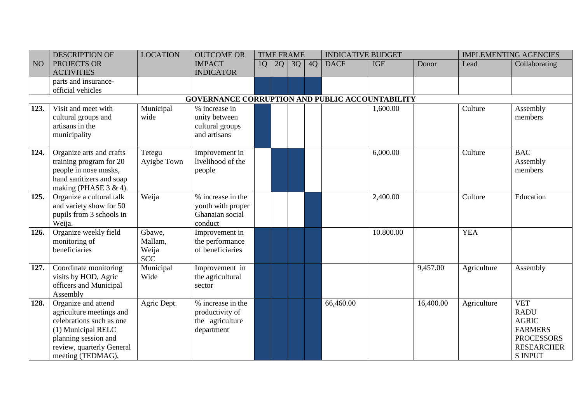|                    | <b>DESCRIPTION OF</b>     | <b>LOCATION</b> | <b>OUTCOME OR</b>                                      |    | <b>TIME FRAME</b> |    |    | <b>INDICATIVE BUDGET</b> |            |           |             | <b>IMPLEMENTING AGENCIES</b> |
|--------------------|---------------------------|-----------------|--------------------------------------------------------|----|-------------------|----|----|--------------------------|------------|-----------|-------------|------------------------------|
| NO                 | PROJECTS OR               |                 | <b>IMPACT</b>                                          | 1Q | 2Q                | 3Q | 4Q | <b>DACF</b>              | <b>IGF</b> | Donor     | Lead        | Collaborating                |
|                    | <b>ACTIVITIES</b>         |                 | <b>INDICATOR</b>                                       |    |                   |    |    |                          |            |           |             |                              |
|                    | parts and insurance-      |                 |                                                        |    |                   |    |    |                          |            |           |             |                              |
|                    | official vehicles         |                 |                                                        |    |                   |    |    |                          |            |           |             |                              |
|                    |                           |                 | <b>GOVERNANCE CORRUPTION AND PUBLIC ACCOUNTABILITY</b> |    |                   |    |    |                          |            |           |             |                              |
| 123.               | Visit and meet with       | Municipal       | % increase in                                          |    |                   |    |    |                          | 1,600.00   |           | Culture     | Assembly                     |
|                    | cultural groups and       | wide            | unity between                                          |    |                   |    |    |                          |            |           |             | members                      |
|                    | artisans in the           |                 | cultural groups                                        |    |                   |    |    |                          |            |           |             |                              |
|                    | municipality              |                 | and artisans                                           |    |                   |    |    |                          |            |           |             |                              |
| 124.               | Organize arts and crafts  | Tetegu          | Improvement in                                         |    |                   |    |    |                          | 6,000.00   |           | Culture     | <b>BAC</b>                   |
|                    | training program for 20   | Ayigbe Town     | livelihood of the                                      |    |                   |    |    |                          |            |           |             | Assembly                     |
|                    | people in nose masks,     |                 | people                                                 |    |                   |    |    |                          |            |           |             | members                      |
|                    | hand sanitizers and soap  |                 |                                                        |    |                   |    |    |                          |            |           |             |                              |
|                    | making (PHASE 3 & 4).     |                 |                                                        |    |                   |    |    |                          |            |           |             |                              |
| 125.               | Organize a cultural talk  | Weija           | % increase in the                                      |    |                   |    |    |                          | 2,400.00   |           | Culture     | Education                    |
|                    | and variety show for 50   |                 | youth with proper                                      |    |                   |    |    |                          |            |           |             |                              |
|                    | pupils from 3 schools in  |                 | Ghanaian social                                        |    |                   |    |    |                          |            |           |             |                              |
|                    | Weija.                    |                 | conduct                                                |    |                   |    |    |                          |            |           |             |                              |
| $\overline{126}$ . | Organize weekly field     | Gbawe,          | Improvement in                                         |    |                   |    |    |                          | 10.800.00  |           | <b>YEA</b>  |                              |
|                    | monitoring of             | Mallam,         | the performance                                        |    |                   |    |    |                          |            |           |             |                              |
|                    | beneficiaries             | Weija           | of beneficiaries                                       |    |                   |    |    |                          |            |           |             |                              |
|                    |                           | <b>SCC</b>      |                                                        |    |                   |    |    |                          |            |           |             |                              |
| 127.               | Coordinate monitoring     | Municipal       | Improvement in                                         |    |                   |    |    |                          |            | 9,457.00  | Agriculture | Assembly                     |
|                    | visits by HOD, Agric      | Wide            | the agricultural                                       |    |                   |    |    |                          |            |           |             |                              |
|                    | officers and Municipal    |                 | sector                                                 |    |                   |    |    |                          |            |           |             |                              |
|                    | Assembly                  |                 |                                                        |    |                   |    |    |                          |            |           |             |                              |
| 128.               | Organize and attend       | Agric Dept.     | % increase in the                                      |    |                   |    |    | 66,460.00                |            | 16,400.00 | Agriculture | <b>VET</b>                   |
|                    | agriculture meetings and  |                 | productivity of                                        |    |                   |    |    |                          |            |           |             | <b>RADU</b>                  |
|                    | celebrations such as one  |                 | the agriculture                                        |    |                   |    |    |                          |            |           |             | <b>AGRIC</b>                 |
|                    | (1) Municipal RELC        |                 | department                                             |    |                   |    |    |                          |            |           |             | <b>FARMERS</b>               |
|                    | planning session and      |                 |                                                        |    |                   |    |    |                          |            |           |             | <b>PROCESSORS</b>            |
|                    | review, quarterly General |                 |                                                        |    |                   |    |    |                          |            |           |             | <b>RESEARCHER</b>            |
|                    | meeting (TEDMAG),         |                 |                                                        |    |                   |    |    |                          |            |           |             | <b>S INPUT</b>               |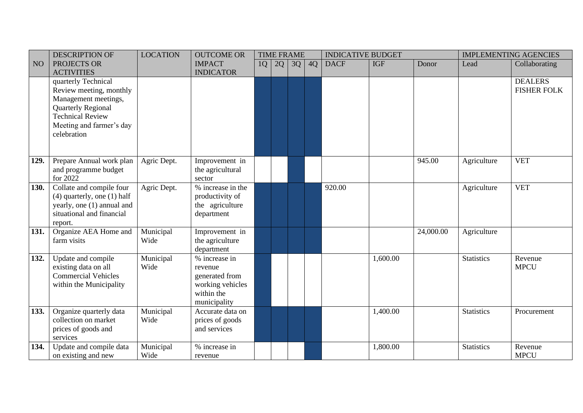|                 | <b>DESCRIPTION OF</b>           | <b>LOCATION</b>   | <b>OUTCOME OR</b>             |    | <b>TIME FRAME</b> |    |    | <b>INDICATIVE BUDGET</b> |            |           |                   | <b>IMPLEMENTING AGENCIES</b> |
|-----------------|---------------------------------|-------------------|-------------------------------|----|-------------------|----|----|--------------------------|------------|-----------|-------------------|------------------------------|
| NO <sub>1</sub> | PROJECTS OR                     |                   | <b>IMPACT</b>                 | 1Q | 2Q                | 3Q | 4Q | <b>DACF</b>              | <b>IGF</b> | Donor     | Lead              | Collaborating                |
|                 | <b>ACTIVITIES</b>               |                   | <b>INDICATOR</b>              |    |                   |    |    |                          |            |           |                   |                              |
|                 | quarterly Technical             |                   |                               |    |                   |    |    |                          |            |           |                   | <b>DEALERS</b>               |
|                 | Review meeting, monthly         |                   |                               |    |                   |    |    |                          |            |           |                   | <b>FISHER FOLK</b>           |
|                 | Management meetings,            |                   |                               |    |                   |    |    |                          |            |           |                   |                              |
|                 | Quarterly Regional              |                   |                               |    |                   |    |    |                          |            |           |                   |                              |
|                 | <b>Technical Review</b>         |                   |                               |    |                   |    |    |                          |            |           |                   |                              |
|                 | Meeting and farmer's day        |                   |                               |    |                   |    |    |                          |            |           |                   |                              |
|                 | celebration                     |                   |                               |    |                   |    |    |                          |            |           |                   |                              |
|                 |                                 |                   |                               |    |                   |    |    |                          |            |           |                   |                              |
|                 |                                 |                   |                               |    |                   |    |    |                          |            |           |                   |                              |
| 129.            | Prepare Annual work plan        | Agric Dept.       | Improvement in                |    |                   |    |    |                          |            | 945.00    | Agriculture       | <b>VET</b>                   |
|                 | and programme budget            |                   | the agricultural              |    |                   |    |    |                          |            |           |                   |                              |
|                 | for 2022                        |                   | sector                        |    |                   |    |    |                          |            |           |                   |                              |
| 130.            | Collate and compile four        | Agric Dept.       | % increase in the             |    |                   |    |    | 920.00                   |            |           | Agriculture       | <b>VET</b>                   |
|                 | $(4)$ quarterly, one $(1)$ half |                   | productivity of               |    |                   |    |    |                          |            |           |                   |                              |
|                 | yearly, one (1) annual and      |                   | the agriculture               |    |                   |    |    |                          |            |           |                   |                              |
|                 | situational and financial       |                   | department                    |    |                   |    |    |                          |            |           |                   |                              |
|                 | report.                         |                   |                               |    |                   |    |    |                          |            |           |                   |                              |
| 131.            | Organize AEA Home and           | Municipal<br>Wide | Improvement in                |    |                   |    |    |                          |            | 24,000.00 | Agriculture       |                              |
|                 | farm visits                     |                   | the agriculture<br>department |    |                   |    |    |                          |            |           |                   |                              |
| 132.            | Update and compile              | Municipal         | % increase in                 |    |                   |    |    |                          | 1,600.00   |           | <b>Statistics</b> | Revenue                      |
|                 | existing data on all            | Wide              | revenue                       |    |                   |    |    |                          |            |           |                   | <b>MPCU</b>                  |
|                 | <b>Commercial Vehicles</b>      |                   | generated from                |    |                   |    |    |                          |            |           |                   |                              |
|                 | within the Municipality         |                   | working vehicles              |    |                   |    |    |                          |            |           |                   |                              |
|                 |                                 |                   | within the                    |    |                   |    |    |                          |            |           |                   |                              |
|                 |                                 |                   | municipality                  |    |                   |    |    |                          |            |           |                   |                              |
| 133.            | Organize quarterly data         | Municipal         | Accurate data on              |    |                   |    |    |                          | 1,400.00   |           | <b>Statistics</b> | Procurement                  |
|                 | collection on market            | Wide              | prices of goods               |    |                   |    |    |                          |            |           |                   |                              |
|                 | prices of goods and             |                   | and services                  |    |                   |    |    |                          |            |           |                   |                              |
|                 | services                        |                   |                               |    |                   |    |    |                          |            |           |                   |                              |
| 134.            | Update and compile data         | Municipal         | % increase in                 |    |                   |    |    |                          | 1,800.00   |           | <b>Statistics</b> | Revenue                      |
|                 | on existing and new             | Wide              | revenue                       |    |                   |    |    |                          |            |           |                   | <b>MPCU</b>                  |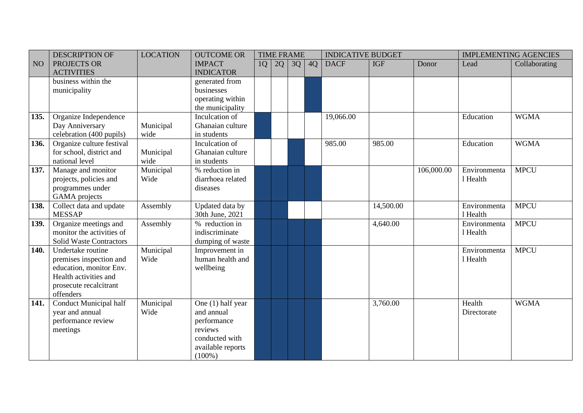|      | <b>DESCRIPTION OF</b>          | <b>LOCATION</b> | <b>OUTCOME OR</b> |    | <b>TIME FRAME</b> |    |    | <b>INDICATIVE BUDGET</b> |            |            |              | <b>IMPLEMENTING AGENCIES</b> |
|------|--------------------------------|-----------------|-------------------|----|-------------------|----|----|--------------------------|------------|------------|--------------|------------------------------|
| NO   | PROJECTS OR                    |                 | <b>IMPACT</b>     | 1Q | 2Q                | 3Q | 4Q | <b>DACF</b>              | <b>IGF</b> | Donor      | Lead         | Collaborating                |
|      | <b>ACTIVITIES</b>              |                 | <b>INDICATOR</b>  |    |                   |    |    |                          |            |            |              |                              |
|      | business within the            |                 | generated from    |    |                   |    |    |                          |            |            |              |                              |
|      | municipality                   |                 | businesses        |    |                   |    |    |                          |            |            |              |                              |
|      |                                |                 | operating within  |    |                   |    |    |                          |            |            |              |                              |
|      |                                |                 | the municipality  |    |                   |    |    |                          |            |            |              |                              |
| 135. | Organize Independence          |                 | Inculcation of    |    |                   |    |    | 19,066.00                |            |            | Education    | <b>WGMA</b>                  |
|      | Day Anniversary                | Municipal       | Ghanaian culture  |    |                   |    |    |                          |            |            |              |                              |
|      | celebration (400 pupils)       | wide            | in students       |    |                   |    |    |                          |            |            |              |                              |
| 136. | Organize culture festival      |                 | Inculcation of    |    |                   |    |    | 985.00                   | 985.00     |            | Education    | <b>WGMA</b>                  |
|      | for school, district and       | Municipal       | Ghanaian culture  |    |                   |    |    |                          |            |            |              |                              |
|      | national level                 | wide            | in students       |    |                   |    |    |                          |            |            |              |                              |
| 137. | Manage and monitor             | Municipal       | % reduction in    |    |                   |    |    |                          |            | 106,000.00 | Environmenta | <b>MPCU</b>                  |
|      | projects, policies and         | Wide            | diarrhoea related |    |                   |    |    |                          |            |            | 1 Health     |                              |
|      | programmes under               |                 | diseases          |    |                   |    |    |                          |            |            |              |                              |
|      | GAMA projects                  |                 |                   |    |                   |    |    |                          |            |            |              |                              |
| 138. | Collect data and update        | Assembly        | Updated data by   |    |                   |    |    |                          | 14,500.00  |            | Environmenta | <b>MPCU</b>                  |
|      | <b>MESSAP</b>                  |                 | 30th June, 2021   |    |                   |    |    |                          |            |            | 1 Health     |                              |
| 139. | Organize meetings and          | Assembly        | % reduction in    |    |                   |    |    |                          | 4,640.00   |            | Environmenta | <b>MPCU</b>                  |
|      | monitor the activities of      |                 | indiscriminate    |    |                   |    |    |                          |            |            | 1 Health     |                              |
|      | <b>Solid Waste Contractors</b> |                 | dumping of waste  |    |                   |    |    |                          |            |            |              |                              |
| 140. | Undertake routine              | Municipal       | Improvement in    |    |                   |    |    |                          |            |            | Environmenta | <b>MPCU</b>                  |
|      | premises inspection and        | Wide            | human health and  |    |                   |    |    |                          |            |            | 1 Health     |                              |
|      | education, monitor Env.        |                 | wellbeing         |    |                   |    |    |                          |            |            |              |                              |
|      | Health activities and          |                 |                   |    |                   |    |    |                          |            |            |              |                              |
|      | prosecute recalcitrant         |                 |                   |    |                   |    |    |                          |            |            |              |                              |
|      | offenders                      |                 |                   |    |                   |    |    |                          |            |            |              |                              |
| 141. | <b>Conduct Municipal half</b>  | Municipal       | One (1) half year |    |                   |    |    |                          | 3,760.00   |            | Health       | <b>WGMA</b>                  |
|      | year and annual                | Wide            | and annual        |    |                   |    |    |                          |            |            | Directorate  |                              |
|      | performance review             |                 | performance       |    |                   |    |    |                          |            |            |              |                              |
|      | meetings                       |                 | reviews           |    |                   |    |    |                          |            |            |              |                              |
|      |                                |                 | conducted with    |    |                   |    |    |                          |            |            |              |                              |
|      |                                |                 | available reports |    |                   |    |    |                          |            |            |              |                              |
|      |                                |                 | $(100\%)$         |    |                   |    |    |                          |            |            |              |                              |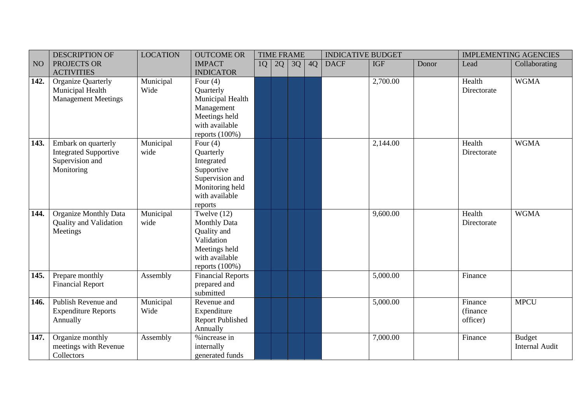|      | <b>DESCRIPTION OF</b>                     | <b>LOCATION</b>   | <b>OUTCOME OR</b>             |    |    | <b>TIME FRAME</b> |    | <b>INDICATIVE BUDGET</b> |            |       |             | <b>IMPLEMENTING AGENCIES</b>           |
|------|-------------------------------------------|-------------------|-------------------------------|----|----|-------------------|----|--------------------------|------------|-------|-------------|----------------------------------------|
| NO   | PROJECTS OR                               |                   | <b>IMPACT</b>                 | 1Q | 2Q | 3Q                | 4Q | <b>DACF</b>              | <b>IGF</b> | Donor | Lead        | Collaborating                          |
|      | <b>ACTIVITIES</b>                         |                   | <b>INDICATOR</b>              |    |    |                   |    |                          |            |       |             |                                        |
| 142. | <b>Organize Quarterly</b>                 | Municipal         | Four $(4)$                    |    |    |                   |    |                          | 2,700.00   |       | Health      | <b>WGMA</b>                            |
|      | Municipal Health                          | Wide              | Quarterly                     |    |    |                   |    |                          |            |       | Directorate |                                        |
|      | <b>Management Meetings</b>                |                   | Municipal Health              |    |    |                   |    |                          |            |       |             |                                        |
|      |                                           |                   | Management                    |    |    |                   |    |                          |            |       |             |                                        |
|      |                                           |                   | Meetings held                 |    |    |                   |    |                          |            |       |             |                                        |
|      |                                           |                   | with available                |    |    |                   |    |                          |            |       |             |                                        |
|      |                                           |                   | reports $(100\%)$             |    |    |                   |    |                          |            |       |             |                                        |
| 143. | Embark on quarterly                       | Municipal         | Four $(4)$                    |    |    |                   |    |                          | 2,144.00   |       | Health      | <b>WGMA</b>                            |
|      | <b>Integrated Supportive</b>              | wide              | Quarterly                     |    |    |                   |    |                          |            |       | Directorate |                                        |
|      | Supervision and                           |                   | Integrated                    |    |    |                   |    |                          |            |       |             |                                        |
|      | Monitoring                                |                   | Supportive                    |    |    |                   |    |                          |            |       |             |                                        |
|      |                                           |                   | Supervision and               |    |    |                   |    |                          |            |       |             |                                        |
|      |                                           |                   | Monitoring held               |    |    |                   |    |                          |            |       |             |                                        |
|      |                                           |                   | with available                |    |    |                   |    |                          |            |       |             |                                        |
|      |                                           |                   | reports                       |    |    |                   |    |                          |            |       |             |                                        |
| 144. | <b>Organize Monthly Data</b>              | Municipal         | Twelve $(12)$                 |    |    |                   |    |                          | 9,600.00   |       | Health      | <b>WGMA</b>                            |
|      | Quality and Validation                    | wide              | <b>Monthly Data</b>           |    |    |                   |    |                          |            |       | Directorate |                                        |
|      | Meetings                                  |                   | Quality and                   |    |    |                   |    |                          |            |       |             |                                        |
|      |                                           |                   | Validation                    |    |    |                   |    |                          |            |       |             |                                        |
|      |                                           |                   | Meetings held                 |    |    |                   |    |                          |            |       |             |                                        |
|      |                                           |                   | with available                |    |    |                   |    |                          |            |       |             |                                        |
|      |                                           |                   | reports $(100\%)$             |    |    |                   |    |                          |            |       |             |                                        |
| 145. | Prepare monthly                           | Assembly          | <b>Financial Reports</b>      |    |    |                   |    |                          | 5,000.00   |       | Finance     |                                        |
|      | <b>Financial Report</b>                   |                   | prepared and<br>submitted     |    |    |                   |    |                          |            |       |             |                                        |
| 146. | Publish Revenue and                       |                   | Revenue and                   |    |    |                   |    |                          | 5,000.00   |       | Finance     | <b>MPCU</b>                            |
|      |                                           | Municipal<br>Wide |                               |    |    |                   |    |                          |            |       |             |                                        |
|      | <b>Expenditure Reports</b>                |                   | Expenditure                   |    |    |                   |    |                          |            |       | (finance)   |                                        |
|      | Annually                                  |                   | <b>Report Published</b>       |    |    |                   |    |                          |            |       | officer)    |                                        |
|      |                                           |                   | Annually<br>%increase in      |    |    |                   |    |                          | 7,000.00   |       | Finance     |                                        |
| 147. | Organize monthly<br>meetings with Revenue | Assembly          |                               |    |    |                   |    |                          |            |       |             | <b>Budget</b><br><b>Internal Audit</b> |
|      | Collectors                                |                   | internally<br>generated funds |    |    |                   |    |                          |            |       |             |                                        |
|      |                                           |                   |                               |    |    |                   |    |                          |            |       |             |                                        |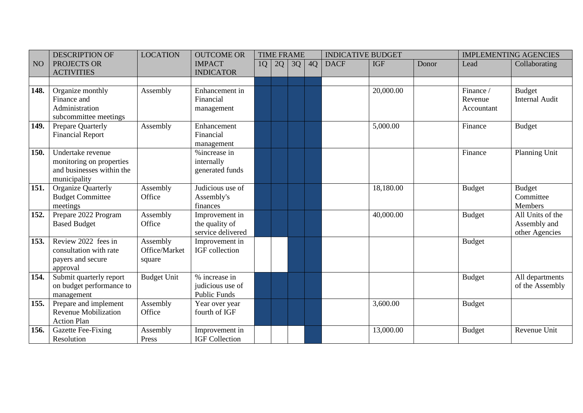|           | <b>DESCRIPTION OF</b>                                                                      | <b>LOCATION</b>                     | <b>OUTCOME OR</b>                                        |    | <b>TIME FRAME</b> |    |    | <b>INDICATIVE BUDGET</b> |            |       |                                    | <b>IMPLEMENTING AGENCIES</b>                       |
|-----------|--------------------------------------------------------------------------------------------|-------------------------------------|----------------------------------------------------------|----|-------------------|----|----|--------------------------|------------|-------|------------------------------------|----------------------------------------------------|
| <b>NO</b> | PROJECTS OR<br><b>ACTIVITIES</b>                                                           |                                     | <b>IMPACT</b><br><b>INDICATOR</b>                        | 1Q | 2Q                | 3Q | 4Q | <b>DACF</b>              | <b>IGF</b> | Donor | Lead                               | Collaborating                                      |
|           |                                                                                            |                                     |                                                          |    |                   |    |    |                          |            |       |                                    |                                                    |
| 148.      | Organize monthly<br>Finance and<br>Administration<br>subcommittee meetings                 | Assembly                            | Enhancement in<br>Financial<br>management                |    |                   |    |    |                          | 20,000.00  |       | Finance /<br>Revenue<br>Accountant | <b>Budget</b><br><b>Internal Audit</b>             |
| 149.      | Prepare Quarterly<br><b>Financial Report</b>                                               | Assembly                            | Enhancement<br>Financial<br>management                   |    |                   |    |    |                          | 5,000.00   |       | Finance                            | <b>Budget</b>                                      |
| 150.      | Undertake revenue<br>monitoring on properties<br>and businesses within the<br>municipality |                                     | % increase in<br>internally<br>generated funds           |    |                   |    |    |                          |            |       | Finance                            | Planning Unit                                      |
| 151.      | <b>Organize Quarterly</b><br><b>Budget Committee</b><br>meetings                           | Assembly<br>Office                  | Judicious use of<br>Assembly's<br>finances               |    |                   |    |    |                          | 18,180.00  |       | <b>Budget</b>                      | <b>Budget</b><br>Committee<br>Members              |
| 152.      | Prepare 2022 Program<br><b>Based Budget</b>                                                | Assembly<br>Office                  | Improvement in<br>the quality of<br>service delivered    |    |                   |    |    |                          | 40,000.00  |       | <b>Budget</b>                      | All Units of the<br>Assembly and<br>other Agencies |
| 153.      | Review 2022 fees in<br>consultation with rate<br>payers and secure<br>approval             | Assembly<br>Office/Market<br>square | Improvement in<br>IGF collection                         |    |                   |    |    |                          |            |       | <b>Budget</b>                      |                                                    |
| 154.      | Submit quarterly report<br>on budget performance to<br>management                          | <b>Budget Unit</b>                  | % increase in<br>judicious use of<br><b>Public Funds</b> |    |                   |    |    |                          |            |       | <b>Budget</b>                      | All departments<br>of the Assembly                 |
| 155.      | Prepare and implement<br><b>Revenue Mobilization</b><br><b>Action Plan</b>                 | Assembly<br>Office                  | Year over year<br>fourth of IGF                          |    |                   |    |    |                          | 3,600.00   |       | <b>Budget</b>                      |                                                    |
| 156.      | Gazette Fee-Fixing<br>Resolution                                                           | Assembly<br>Press                   | Improvement in<br><b>IGF Collection</b>                  |    |                   |    |    |                          | 13,000.00  |       | <b>Budget</b>                      | Revenue Unit                                       |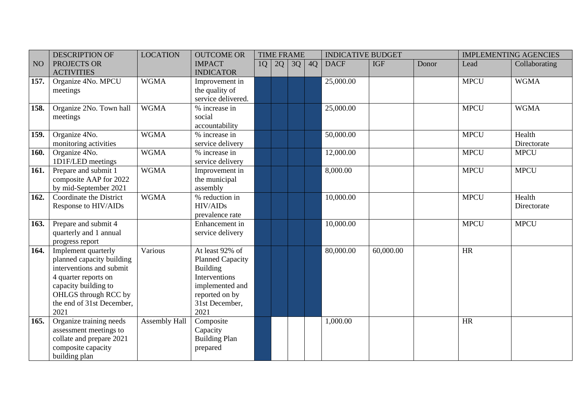|      | <b>DESCRIPTION OF</b>                                                                                                                                                                     | <b>LOCATION</b> | <b>OUTCOME OR</b>                                                                                                                             |    | <b>TIME FRAME</b> |    |    | <b>INDICATIVE BUDGET</b> |            |       |             | <b>IMPLEMENTING AGENCIES</b> |
|------|-------------------------------------------------------------------------------------------------------------------------------------------------------------------------------------------|-----------------|-----------------------------------------------------------------------------------------------------------------------------------------------|----|-------------------|----|----|--------------------------|------------|-------|-------------|------------------------------|
| NO   | PROJECTS OR<br><b>ACTIVITIES</b>                                                                                                                                                          |                 | <b>IMPACT</b><br><b>INDICATOR</b>                                                                                                             | 1Q | 2Q                | 3Q | 4Q | <b>DACF</b>              | <b>IGF</b> | Donor | Lead        | Collaborating                |
| 157. | Organize 4No. MPCU<br>meetings                                                                                                                                                            | <b>WGMA</b>     | Improvement in<br>the quality of<br>service delivered.                                                                                        |    |                   |    |    | 25,000.00                |            |       | <b>MPCU</b> | <b>WGMA</b>                  |
| 158. | Organize 2No. Town hall<br>meetings                                                                                                                                                       | <b>WGMA</b>     | % increase in<br>social<br>accountability                                                                                                     |    |                   |    |    | 25,000.00                |            |       | <b>MPCU</b> | <b>WGMA</b>                  |
| 159. | Organize 4No.<br>monitoring activities                                                                                                                                                    | <b>WGMA</b>     | % increase in<br>service delivery                                                                                                             |    |                   |    |    | 50,000.00                |            |       | <b>MPCU</b> | Health<br>Directorate        |
| 160. | Organize 4No.<br>1D1F/LED meetings                                                                                                                                                        | <b>WGMA</b>     | % increase in<br>service delivery                                                                                                             |    |                   |    |    | 12,000.00                |            |       | <b>MPCU</b> | <b>MPCU</b>                  |
| 161. | Prepare and submit 1<br>composite AAP for 2022<br>by mid-September 2021                                                                                                                   | <b>WGMA</b>     | Improvement in<br>the municipal<br>assembly                                                                                                   |    |                   |    |    | 8,000.00                 |            |       | <b>MPCU</b> | <b>MPCU</b>                  |
| 162. | Coordinate the District<br>Response to HIV/AIDs                                                                                                                                           | <b>WGMA</b>     | % reduction in<br><b>HIV/AIDs</b><br>prevalence rate                                                                                          |    |                   |    |    | 10,000.00                |            |       | <b>MPCU</b> | Health<br>Directorate        |
| 163. | Prepare and submit 4<br>quarterly and 1 annual<br>progress report                                                                                                                         |                 | Enhancement in<br>service delivery                                                                                                            |    |                   |    |    | 10,000.00                |            |       | <b>MPCU</b> | <b>MPCU</b>                  |
| 164. | Implement quarterly<br>planned capacity building<br>interventions and submit<br>4 quarter reports on<br>capacity building to<br>OHLGS through RCC by<br>the end of 31st December,<br>2021 | Various         | At least 92% of<br><b>Planned Capacity</b><br><b>Building</b><br>Interventions<br>implemented and<br>reported on by<br>31st December,<br>2021 |    |                   |    |    | 80,000.00                | 60,000.00  |       | HR          |                              |
| 165. | Organize training needs<br>assessment meetings to<br>collate and prepare 2021<br>composite capacity<br>building plan                                                                      | Assembly Hall   | Composite<br>Capacity<br><b>Building Plan</b><br>prepared                                                                                     |    |                   |    |    | 1,000.00                 |            |       | HR          |                              |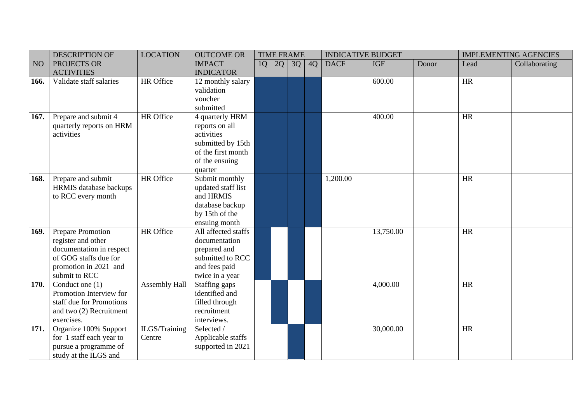|             | <b>DESCRIPTION OF</b>    | <b>LOCATION</b> | <b>OUTCOME OR</b>   |    |    | <b>TIME FRAME</b> |    | <b>INDICATIVE BUDGET</b> |            |       |           | <b>IMPLEMENTING AGENCIES</b> |
|-------------|--------------------------|-----------------|---------------------|----|----|-------------------|----|--------------------------|------------|-------|-----------|------------------------------|
| NO          | PROJECTS OR              |                 | <b>IMPACT</b>       | 1Q | 2Q | 3Q                | 4Q | <b>DACF</b>              | <b>IGF</b> | Donor | Lead      | Collaborating                |
|             | <b>ACTIVITIES</b>        |                 | <b>INDICATOR</b>    |    |    |                   |    |                          |            |       |           |                              |
| 166.        | Validate staff salaries  | HR Office       | 12 monthly salary   |    |    |                   |    |                          | 600.00     |       | HR        |                              |
|             |                          |                 | validation          |    |    |                   |    |                          |            |       |           |                              |
|             |                          |                 | voucher             |    |    |                   |    |                          |            |       |           |                              |
|             |                          |                 | submitted           |    |    |                   |    |                          |            |       |           |                              |
| 167.        | Prepare and submit 4     | HR Office       | 4 quarterly HRM     |    |    |                   |    |                          | 400.00     |       | HR        |                              |
|             | quarterly reports on HRM |                 | reports on all      |    |    |                   |    |                          |            |       |           |                              |
|             | activities               |                 | activities          |    |    |                   |    |                          |            |       |           |                              |
|             |                          |                 | submitted by 15th   |    |    |                   |    |                          |            |       |           |                              |
|             |                          |                 | of the first month  |    |    |                   |    |                          |            |       |           |                              |
|             |                          |                 | of the ensuing      |    |    |                   |    |                          |            |       |           |                              |
|             |                          |                 | quarter             |    |    |                   |    |                          |            |       |           |                              |
| 168.        | Prepare and submit       | HR Office       | Submit monthly      |    |    |                   |    | 1,200.00                 |            |       | <b>HR</b> |                              |
|             | HRMIS database backups   |                 | updated staff list  |    |    |                   |    |                          |            |       |           |                              |
|             | to RCC every month       |                 | and HRMIS           |    |    |                   |    |                          |            |       |           |                              |
|             |                          |                 | database backup     |    |    |                   |    |                          |            |       |           |                              |
|             |                          |                 | by 15th of the      |    |    |                   |    |                          |            |       |           |                              |
|             |                          |                 | ensuing month       |    |    |                   |    |                          |            |       |           |                              |
| 169.        | Prepare Promotion        | HR Office       | All affected staffs |    |    |                   |    |                          | 13,750.00  |       | <b>HR</b> |                              |
|             | register and other       |                 | documentation       |    |    |                   |    |                          |            |       |           |                              |
|             | documentation in respect |                 | prepared and        |    |    |                   |    |                          |            |       |           |                              |
|             | of GOG staffs due for    |                 | submitted to RCC    |    |    |                   |    |                          |            |       |           |                              |
|             | promotion in 2021 and    |                 | and fees paid       |    |    |                   |    |                          |            |       |           |                              |
|             | submit to RCC            |                 | twice in a year     |    |    |                   |    |                          |            |       |           |                              |
| <b>170.</b> | Conduct one $(1)$        | Assembly Hall   | Staffing gaps       |    |    |                   |    |                          | 4,000.00   |       | <b>HR</b> |                              |
|             | Promotion Interview for  |                 | identified and      |    |    |                   |    |                          |            |       |           |                              |
|             | staff due for Promotions |                 | filled through      |    |    |                   |    |                          |            |       |           |                              |
|             | and two (2) Recruitment  |                 | recruitment         |    |    |                   |    |                          |            |       |           |                              |
|             | exercises.               |                 | interviews.         |    |    |                   |    |                          |            |       |           |                              |
| 171.        | Organize 100% Support    | ILGS/Training   | Selected /          |    |    |                   |    |                          | 30,000.00  |       | <b>HR</b> |                              |
|             | for 1 staff each year to | Centre          | Applicable staffs   |    |    |                   |    |                          |            |       |           |                              |
|             | pursue a programme of    |                 | supported in 2021   |    |    |                   |    |                          |            |       |           |                              |
|             | study at the ILGS and    |                 |                     |    |    |                   |    |                          |            |       |           |                              |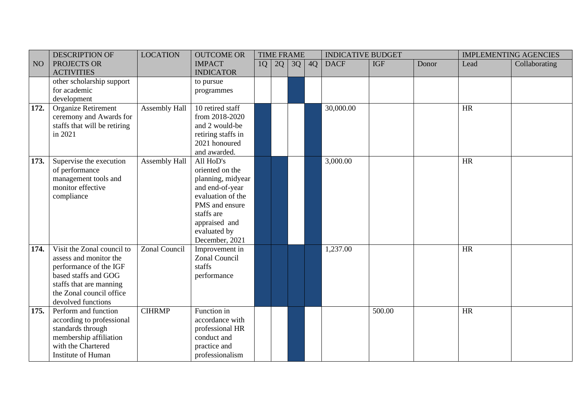|                 | <b>DESCRIPTION OF</b>        | <b>LOCATION</b>      | <b>OUTCOME OR</b>  |    | <b>TIME FRAME</b> |    |    | <b>INDICATIVE BUDGET</b> |            |       | <b>IMPLEMENTING AGENCIES</b> |               |
|-----------------|------------------------------|----------------------|--------------------|----|-------------------|----|----|--------------------------|------------|-------|------------------------------|---------------|
| NO <sub>1</sub> | PROJECTS OR                  |                      | <b>IMPACT</b>      | 1Q | 2Q                | 3Q | 4Q | <b>DACF</b>              | <b>IGF</b> | Donor | Lead                         | Collaborating |
|                 | <b>ACTIVITIES</b>            |                      | <b>INDICATOR</b>   |    |                   |    |    |                          |            |       |                              |               |
|                 | other scholarship support    |                      | to pursue          |    |                   |    |    |                          |            |       |                              |               |
|                 | for academic                 |                      | programmes         |    |                   |    |    |                          |            |       |                              |               |
|                 | development                  |                      |                    |    |                   |    |    |                          |            |       |                              |               |
| 172.            | <b>Organize Retirement</b>   | Assembly Hall        | 10 retired staff   |    |                   |    |    | 30,000.00                |            |       | <b>HR</b>                    |               |
|                 | ceremony and Awards for      |                      | from 2018-2020     |    |                   |    |    |                          |            |       |                              |               |
|                 | staffs that will be retiring |                      | and 2 would-be     |    |                   |    |    |                          |            |       |                              |               |
|                 | in 2021                      |                      | retiring staffs in |    |                   |    |    |                          |            |       |                              |               |
|                 |                              |                      | 2021 honoured      |    |                   |    |    |                          |            |       |                              |               |
|                 |                              |                      | and awarded.       |    |                   |    |    |                          |            |       |                              |               |
| 173.            | Supervise the execution      | Assembly Hall        | All HoD's          |    |                   |    |    | 3,000.00                 |            |       | HR                           |               |
|                 | of performance               |                      | oriented on the    |    |                   |    |    |                          |            |       |                              |               |
|                 | management tools and         |                      | planning, midyear  |    |                   |    |    |                          |            |       |                              |               |
|                 | monitor effective            |                      | and end-of-year    |    |                   |    |    |                          |            |       |                              |               |
|                 | compliance                   |                      | evaluation of the  |    |                   |    |    |                          |            |       |                              |               |
|                 |                              |                      | PMS and ensure     |    |                   |    |    |                          |            |       |                              |               |
|                 |                              |                      | staffs are         |    |                   |    |    |                          |            |       |                              |               |
|                 |                              |                      | appraised and      |    |                   |    |    |                          |            |       |                              |               |
|                 |                              |                      | evaluated by       |    |                   |    |    |                          |            |       |                              |               |
|                 |                              |                      | December, 2021     |    |                   |    |    |                          |            |       |                              |               |
| 174.            | Visit the Zonal council to   | <b>Zonal Council</b> | Improvement in     |    |                   |    |    | 1,237.00                 |            |       | <b>HR</b>                    |               |
|                 | assess and monitor the       |                      | Zonal Council      |    |                   |    |    |                          |            |       |                              |               |
|                 | performance of the IGF       |                      | staffs             |    |                   |    |    |                          |            |       |                              |               |
|                 | based staffs and GOG         |                      | performance        |    |                   |    |    |                          |            |       |                              |               |
|                 | staffs that are manning      |                      |                    |    |                   |    |    |                          |            |       |                              |               |
|                 | the Zonal council office     |                      |                    |    |                   |    |    |                          |            |       |                              |               |
|                 | devolved functions           |                      |                    |    |                   |    |    |                          |            |       |                              |               |
| 175.            | Perform and function         | <b>CIHRMP</b>        | Function in        |    |                   |    |    |                          | 500.00     |       | <b>HR</b>                    |               |
|                 | according to professional    |                      | accordance with    |    |                   |    |    |                          |            |       |                              |               |
|                 | standards through            |                      | professional HR    |    |                   |    |    |                          |            |       |                              |               |
|                 | membership affiliation       |                      | conduct and        |    |                   |    |    |                          |            |       |                              |               |
|                 | with the Chartered           |                      | practice and       |    |                   |    |    |                          |            |       |                              |               |
|                 | Institute of Human           |                      | professionalism    |    |                   |    |    |                          |            |       |                              |               |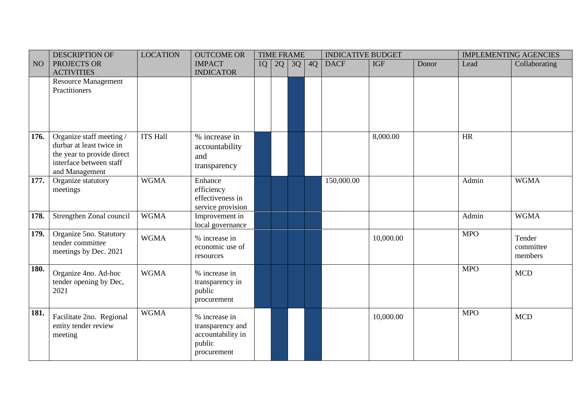|                 | <b>DESCRIPTION OF</b>                                                                                                           | <b>LOCATION</b> | <b>OUTCOME OR</b>                                                               | <b>TIME FRAME</b> |    |    | <b>INDICATIVE BUDGET</b> |             | <b>IMPLEMENTING AGENCIES</b> |       |            |                                |
|-----------------|---------------------------------------------------------------------------------------------------------------------------------|-----------------|---------------------------------------------------------------------------------|-------------------|----|----|--------------------------|-------------|------------------------------|-------|------------|--------------------------------|
| NO <sub>1</sub> | PROJECTS OR<br><b>ACTIVITIES</b>                                                                                                |                 | <b>IMPACT</b><br><b>INDICATOR</b>                                               | 1Q                | 2Q | 3Q | 4Q                       | <b>DACF</b> | <b>IGF</b>                   | Donor | Lead       | Collaborating                  |
|                 | <b>Resource Management</b><br>Practitioners                                                                                     |                 |                                                                                 |                   |    |    |                          |             |                              |       |            |                                |
| 176.            | Organize staff meeting /<br>durbar at least twice in<br>the year to provide direct<br>interface between staff<br>and Management | <b>ITS Hall</b> | % increase in<br>accountability<br>and<br>transparency                          |                   |    |    |                          |             | 8,000.00                     |       | HR         |                                |
| 177.            | Organize statutory<br>meetings                                                                                                  | <b>WGMA</b>     | Enhance<br>efficiency<br>effectiveness in<br>service provision                  |                   |    |    |                          | 150,000.00  |                              |       | Admin      | <b>WGMA</b>                    |
| 178.            | Strengthen Zonal council                                                                                                        | <b>WGMA</b>     | Improvement in<br>local governance                                              |                   |    |    |                          |             |                              |       | Admin      | <b>WGMA</b>                    |
| 179.            | Organize 5no. Statutory<br>tender committee<br>meetings by Dec. 2021                                                            | <b>WGMA</b>     | % increase in<br>economic use of<br>resources                                   |                   |    |    |                          |             | 10,000.00                    |       | <b>MPO</b> | Tender<br>committee<br>members |
| 180.            | Organize 4no. Ad-hoc<br>tender opening by Dec,<br>2021                                                                          | <b>WGMA</b>     | % increase in<br>transparency in<br>public<br>procurement                       |                   |    |    |                          |             |                              |       | <b>MPO</b> | <b>MCD</b>                     |
| 181.            | Facilitate 2no. Regional<br>entity tender review<br>meeting                                                                     | <b>WGMA</b>     | % increase in<br>transparency and<br>accountability in<br>public<br>procurement |                   |    |    |                          |             | 10,000.00                    |       | <b>MPO</b> | <b>MCD</b>                     |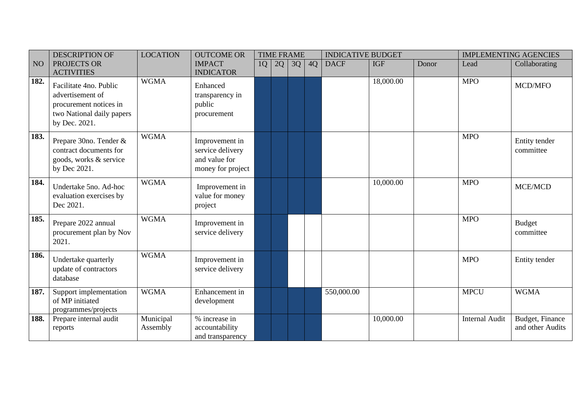|                 | <b>DESCRIPTION OF</b>                                                                                              | <b>LOCATION</b>       | <b>OUTCOME OR</b>                                                        | <b>TIME FRAME</b> |    | <b>INDICATIVE BUDGET</b> |    |             | <b>IMPLEMENTING AGENCIES</b> |       |                       |                                     |
|-----------------|--------------------------------------------------------------------------------------------------------------------|-----------------------|--------------------------------------------------------------------------|-------------------|----|--------------------------|----|-------------|------------------------------|-------|-----------------------|-------------------------------------|
| NO <sub>1</sub> | PROJECTS OR<br><b>ACTIVITIES</b>                                                                                   |                       | <b>IMPACT</b><br><b>INDICATOR</b>                                        | 1Q                | 2Q | 3Q                       | 4Q | <b>DACF</b> | <b>IGF</b>                   | Donor | Lead                  | Collaborating                       |
| 182.            | Facilitate 4no. Public<br>advertisement of<br>procurement notices in<br>two National daily papers<br>by Dec. 2021. | <b>WGMA</b>           | Enhanced<br>transparency in<br>public<br>procurement                     |                   |    |                          |    |             | 18,000.00                    |       | <b>MPO</b>            | MCD/MFO                             |
| 183.            | Prepare 30no. Tender &<br>contract documents for<br>goods, works & service<br>by Dec 2021.                         | <b>WGMA</b>           | Improvement in<br>service delivery<br>and value for<br>money for project |                   |    |                          |    |             |                              |       | <b>MPO</b>            | Entity tender<br>committee          |
| 184.            | Undertake 5no. Ad-hoc<br>evaluation exercises by<br>Dec 2021.                                                      | <b>WGMA</b>           | Improvement in<br>value for money<br>project                             |                   |    |                          |    |             | 10,000.00                    |       | <b>MPO</b>            | <b>MCE/MCD</b>                      |
| 185.            | Prepare 2022 annual<br>procurement plan by Nov<br>2021.                                                            | <b>WGMA</b>           | Improvement in<br>service delivery                                       |                   |    |                          |    |             |                              |       | <b>MPO</b>            | <b>Budget</b><br>committee          |
| 186.            | Undertake quarterly<br>update of contractors<br>database                                                           | <b>WGMA</b>           | Improvement in<br>service delivery                                       |                   |    |                          |    |             |                              |       | <b>MPO</b>            | Entity tender                       |
| 187.            | Support implementation<br>of MP initiated<br>programmes/projects                                                   | <b>WGMA</b>           | Enhancement in<br>development                                            |                   |    |                          |    | 550,000.00  |                              |       | <b>MPCU</b>           | <b>WGMA</b>                         |
| 188.            | Prepare internal audit<br>reports                                                                                  | Municipal<br>Assembly | % increase in<br>accountability<br>and transparency                      |                   |    |                          |    |             | 10,000.00                    |       | <b>Internal Audit</b> | Budget, Finance<br>and other Audits |